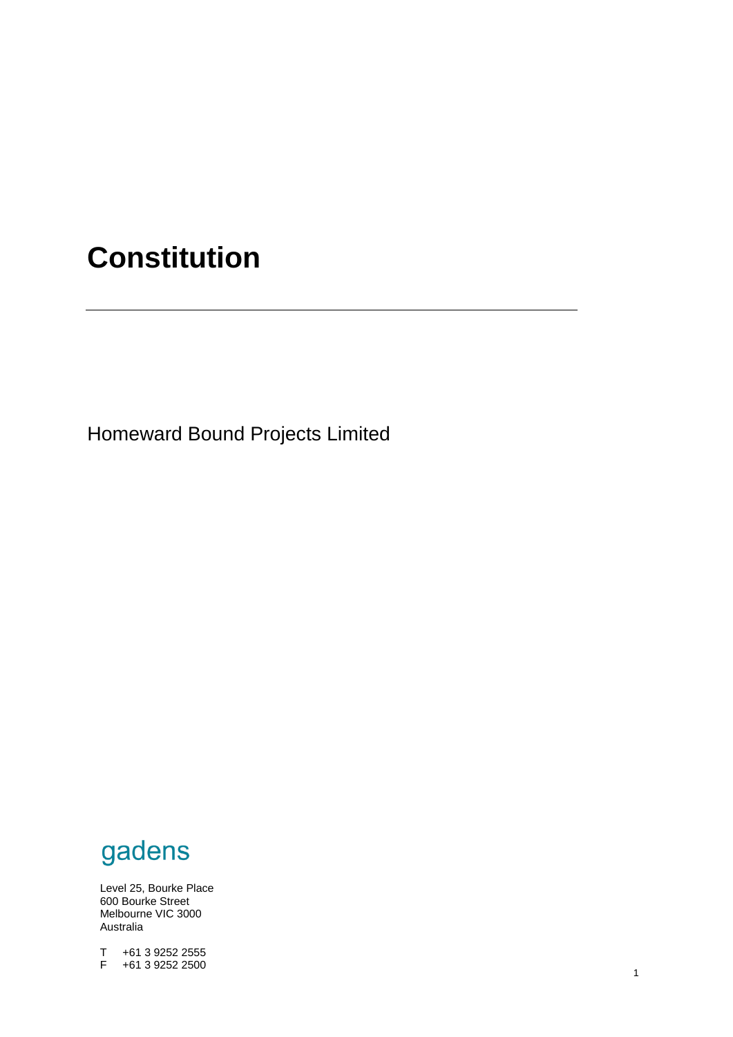# **Constitution**

Homeward Bound Projects Limited

# gadens

Level 25, Bourke Place 600 Bourke Street Melbourne VIC 3000 Australia

constitution in the constitution of the constitution of the constitution of the constitution of the constitution of the constitution of the constitution of the constitution of the constitution of the constitution of the co T +61 3 9252 2555 F +61 3 9252 2500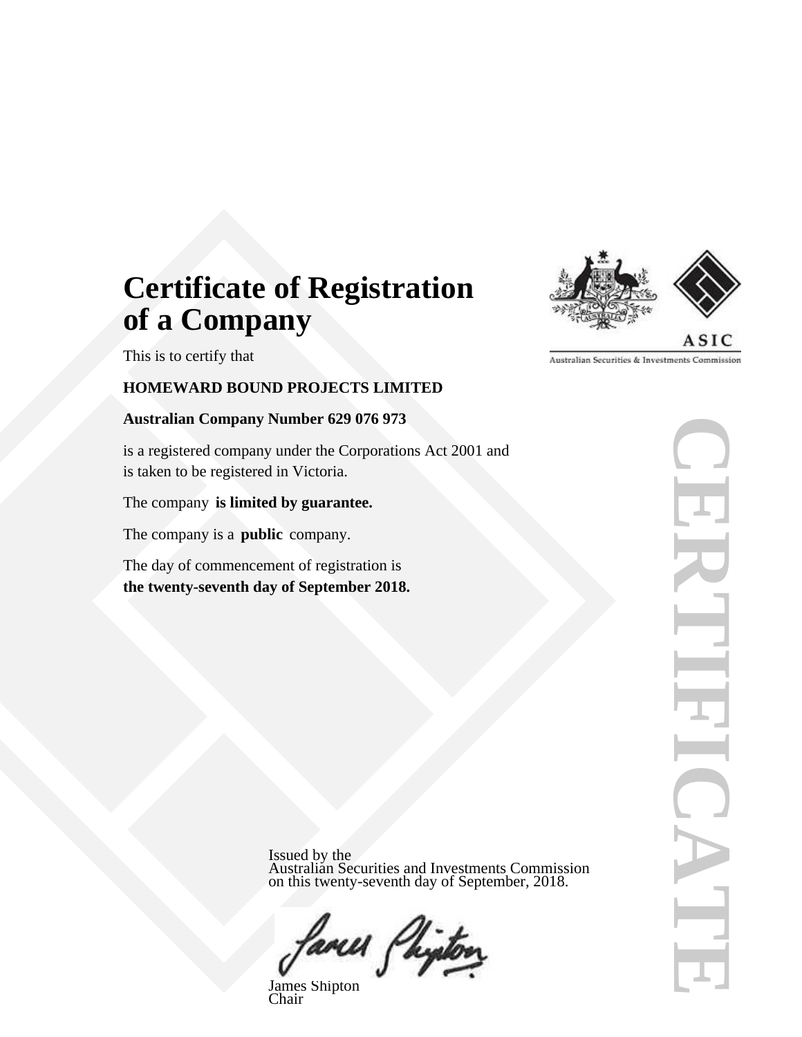# **Certificate of Registration of a Company**

This is to certify that

# **HOMEWARD BOUND PROJECTS LIMITED**

# **Australian Company Number 629 076 973**

is a registered company under the Corporations Act 2001 and is taken to be registered in Victoria.

The company **is limited by guarantee.**

The company is a **public** company.

The day of commencement of registration is **the twenty-seventh day of September 2018.**



**CERTIFICATE THOIRICA** 

Issued by the Australian Securities and Investments Commission on this twenty-seventh day of September, 2018.



James Shipton Chair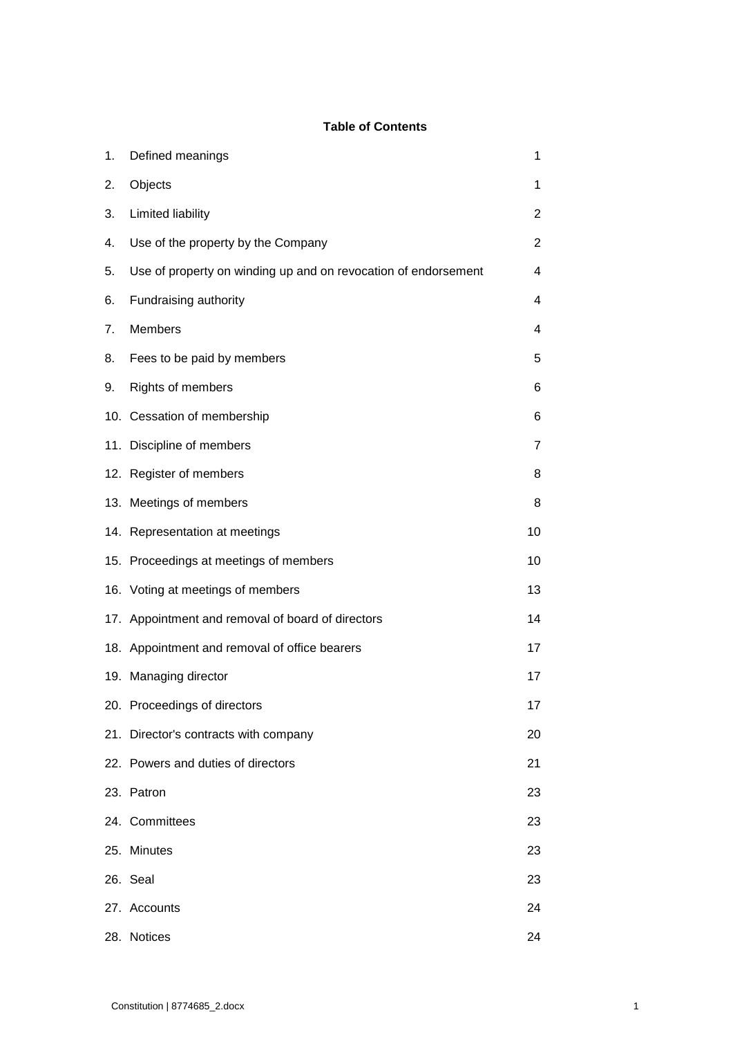# **Table of Contents**

| 1. | Defined meanings                                               | 1  |
|----|----------------------------------------------------------------|----|
| 2. | Objects                                                        | 1  |
| 3. | Limited liability                                              | 2  |
| 4. | Use of the property by the Company                             | 2  |
| 5. | Use of property on winding up and on revocation of endorsement | 4  |
| 6. | Fundraising authority                                          | 4  |
| 7. | Members                                                        | 4  |
| 8. | Fees to be paid by members                                     | 5  |
| 9. | Rights of members                                              | 6  |
|    | 10. Cessation of membership                                    | 6  |
|    | 11. Discipline of members                                      | 7  |
|    | 12. Register of members                                        | 8  |
|    | 13. Meetings of members                                        | 8  |
|    | 14. Representation at meetings                                 | 10 |
|    | 15. Proceedings at meetings of members                         | 10 |
|    | 16. Voting at meetings of members                              | 13 |
|    | 17. Appointment and removal of board of directors              | 14 |
|    | 18. Appointment and removal of office bearers                  | 17 |
|    | 19. Managing director                                          | 17 |
|    | 20. Proceedings of directors                                   | 17 |
|    | 21. Director's contracts with company                          | 20 |
|    | 22. Powers and duties of directors                             | 21 |
|    | 23. Patron                                                     | 23 |
|    | 24. Committees                                                 | 23 |
|    | 25. Minutes                                                    | 23 |
|    | 26. Seal                                                       | 23 |
|    | 27. Accounts                                                   | 24 |
|    | 28. Notices                                                    | 24 |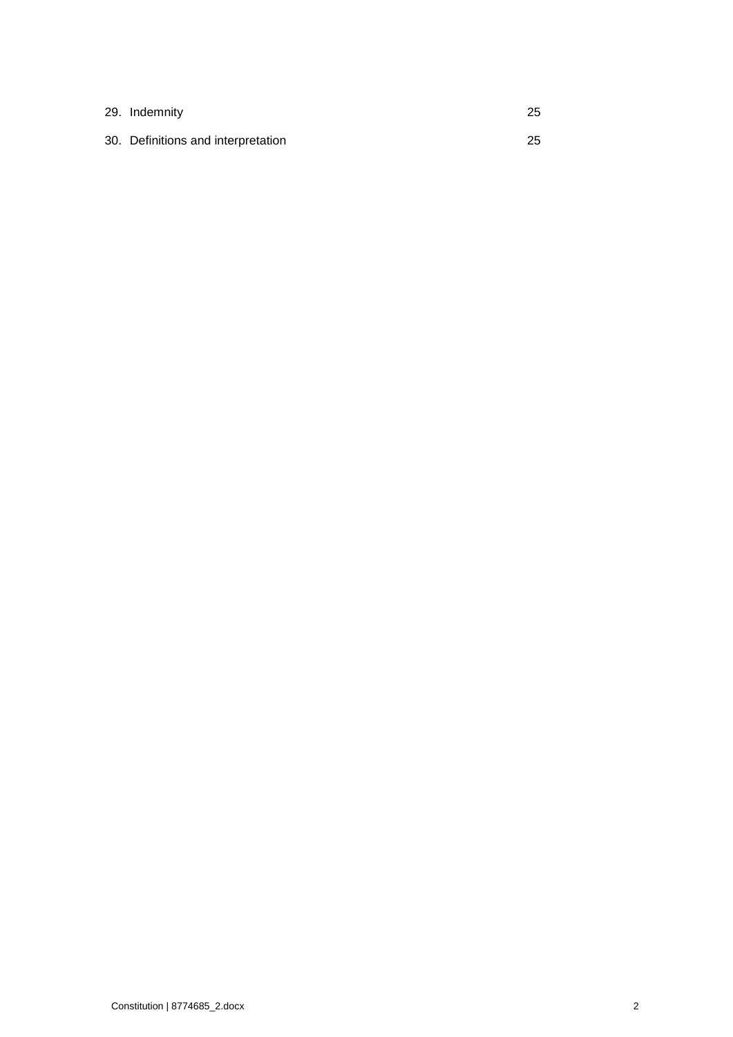| 29. Indemnity                      | -25 |
|------------------------------------|-----|
| 30. Definitions and interpretation | -25 |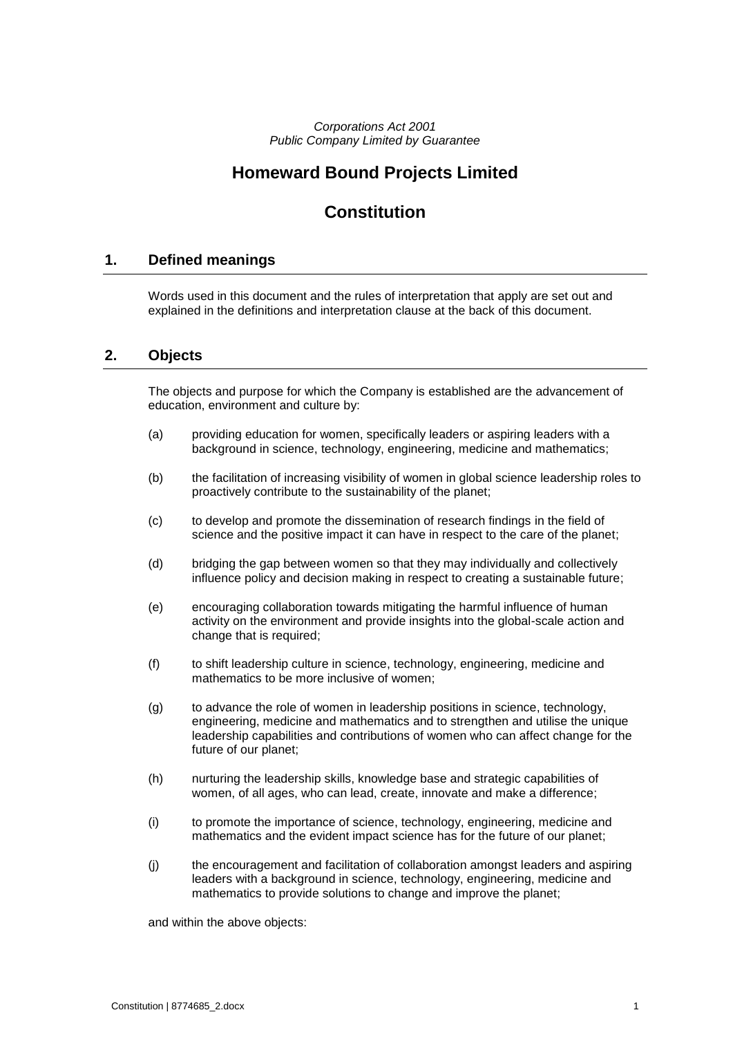*Corporations Act 2001 Public Company Limited by Guarantee*

# **Homeward Bound Projects Limited**

# **Constitution**

# <span id="page-4-0"></span>**1. Defined meanings**

Words used in this document and the rules of interpretation that apply are set out and explained in the definitions and interpretation clause at the back of this document.

### <span id="page-4-1"></span>**2. Objects**

The objects and purpose for which the Company is established are the advancement of education, environment and culture by:

- (a) providing education for women, specifically leaders or aspiring leaders with a background in science, technology, engineering, medicine and mathematics;
- (b) the facilitation of increasing visibility of women in global science leadership roles to proactively contribute to the sustainability of the planet;
- (c) to develop and promote the dissemination of research findings in the field of science and the positive impact it can have in respect to the care of the planet;
- (d) bridging the gap between women so that they may individually and collectively influence policy and decision making in respect to creating a sustainable future;
- (e) encouraging collaboration towards mitigating the harmful influence of human activity on the environment and provide insights into the global-scale action and change that is required;
- (f) to shift leadership culture in science, technology, engineering, medicine and mathematics to be more inclusive of women;
- (g) to advance the role of women in leadership positions in science, technology, engineering, medicine and mathematics and to strengthen and utilise the unique leadership capabilities and contributions of women who can affect change for the future of our planet;
- (h) nurturing the leadership skills, knowledge base and strategic capabilities of women, of all ages, who can lead, create, innovate and make a difference;
- (i) to promote the importance of science, technology, engineering, medicine and mathematics and the evident impact science has for the future of our planet;
- (j) the encouragement and facilitation of collaboration amongst leaders and aspiring leaders with a background in science, technology, engineering, medicine and mathematics to provide solutions to change and improve the planet;

and within the above objects: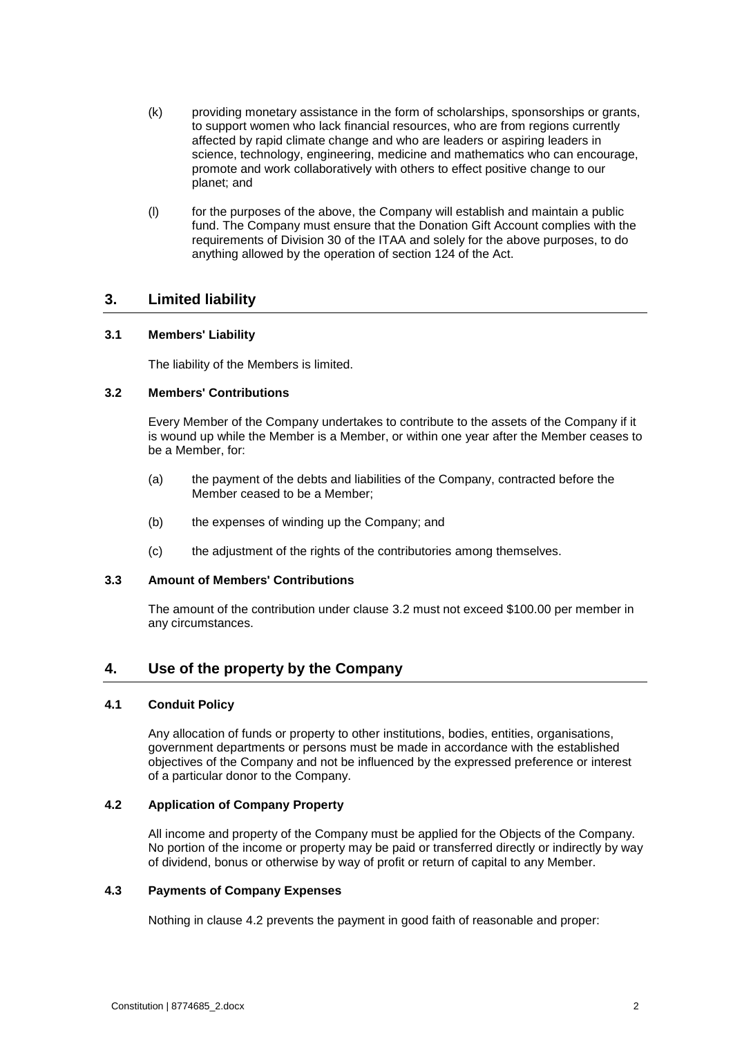- (k) providing monetary assistance in the form of scholarships, sponsorships or grants, to support women who lack financial resources, who are from regions currently affected by rapid climate change and who are leaders or aspiring leaders in science, technology, engineering, medicine and mathematics who can encourage, promote and work collaboratively with others to effect positive change to our planet; and
- (l) for the purposes of the above, the Company will establish and maintain a public fund. The Company must ensure that the Donation Gift Account complies with the requirements of Division 30 of the ITAA and solely for the above purposes, to do anything allowed by the operation of section 124 of the Act.

# <span id="page-5-0"></span>**3. Limited liability**

#### **3.1 Members' Liability**

The liability of the Members is limited.

#### <span id="page-5-2"></span>**3.2 Members' Contributions**

Every Member of the Company undertakes to contribute to the assets of the Company if it is wound up while the Member is a Member, or within one year after the Member ceases to be a Member, for:

- (a) the payment of the debts and liabilities of the Company, contracted before the Member ceased to be a Member;
- (b) the expenses of winding up the Company; and
- (c) the adjustment of the rights of the contributories among themselves.

#### **3.3 Amount of Members' Contributions**

The amount of the contribution under clause [3.2](#page-5-2) must not exceed \$100.00 per member in any circumstances.

# <span id="page-5-1"></span>**4. Use of the property by the Company**

#### **4.1 Conduit Policy**

Any allocation of funds or property to other institutions, bodies, entities, organisations, government departments or persons must be made in accordance with the established objectives of the Company and not be influenced by the expressed preference or interest of a particular donor to the Company.

#### <span id="page-5-3"></span>**4.2 Application of Company Property**

All income and property of the Company must be applied for the Objects of the Company. No portion of the income or property may be paid or transferred directly or indirectly by way of dividend, bonus or otherwise by way of profit or return of capital to any Member.

#### **4.3 Payments of Company Expenses**

Nothing in clause [4.2](#page-5-3) prevents the payment in good faith of reasonable and proper: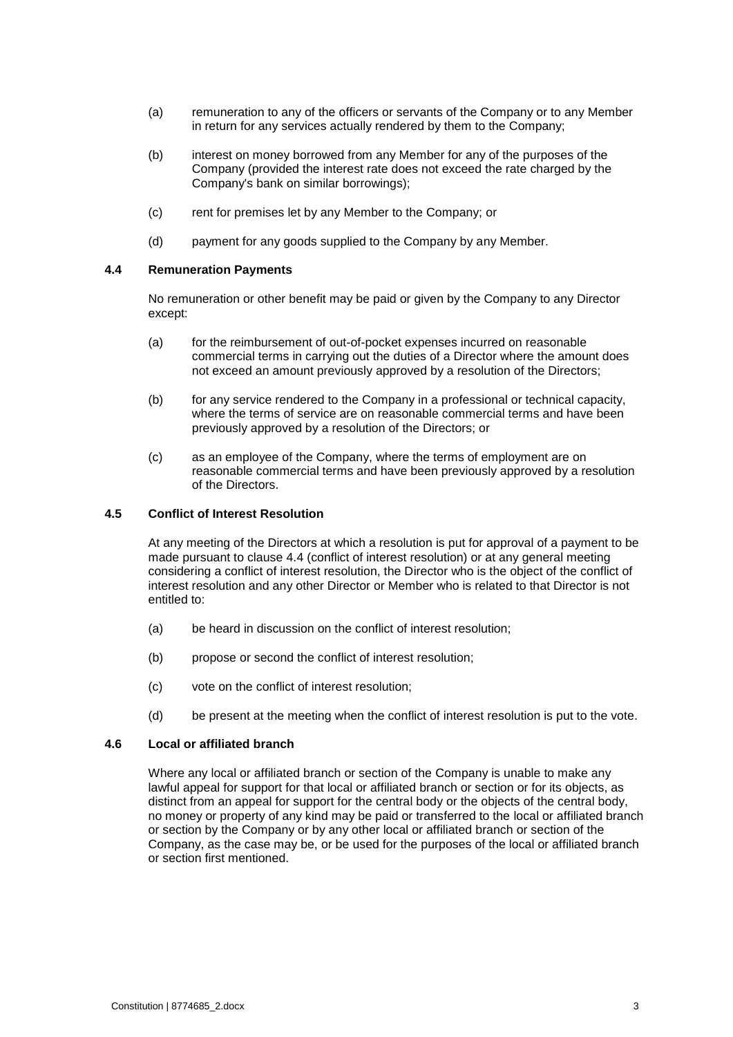- (a) remuneration to any of the officers or servants of the Company or to any Member in return for any services actually rendered by them to the Company;
- (b) interest on money borrowed from any Member for any of the purposes of the Company (provided the interest rate does not exceed the rate charged by the Company's bank on similar borrowings);
- (c) rent for premises let by any Member to the Company; or
- (d) payment for any goods supplied to the Company by any Member.

#### <span id="page-6-0"></span>**4.4 Remuneration Payments**

No remuneration or other benefit may be paid or given by the Company to any Director except:

- (a) for the reimbursement of out-of-pocket expenses incurred on reasonable commercial terms in carrying out the duties of a Director where the amount does not exceed an amount previously approved by a resolution of the Directors;
- (b) for any service rendered to the Company in a professional or technical capacity, where the terms of service are on reasonable commercial terms and have been previously approved by a resolution of the Directors; or
- (c) as an employee of the Company, where the terms of employment are on reasonable commercial terms and have been previously approved by a resolution of the Directors.

#### **4.5 Conflict of Interest Resolution**

At any meeting of the Directors at which a resolution is put for approval of a payment to be made pursuant to clause [4.4](#page-6-0) (conflict of interest resolution) or at any general meeting considering a conflict of interest resolution, the Director who is the object of the conflict of interest resolution and any other Director or Member who is related to that Director is not entitled to:

- (a) be heard in discussion on the conflict of interest resolution;
- (b) propose or second the conflict of interest resolution;
- (c) vote on the conflict of interest resolution;
- (d) be present at the meeting when the conflict of interest resolution is put to the vote.

### **4.6 Local or affiliated branch**

Where any local or affiliated branch or section of the Company is unable to make any lawful appeal for support for that local or affiliated branch or section or for its objects, as distinct from an appeal for support for the central body or the objects of the central body, no money or property of any kind may be paid or transferred to the local or affiliated branch or section by the Company or by any other local or affiliated branch or section of the Company, as the case may be, or be used for the purposes of the local or affiliated branch or section first mentioned.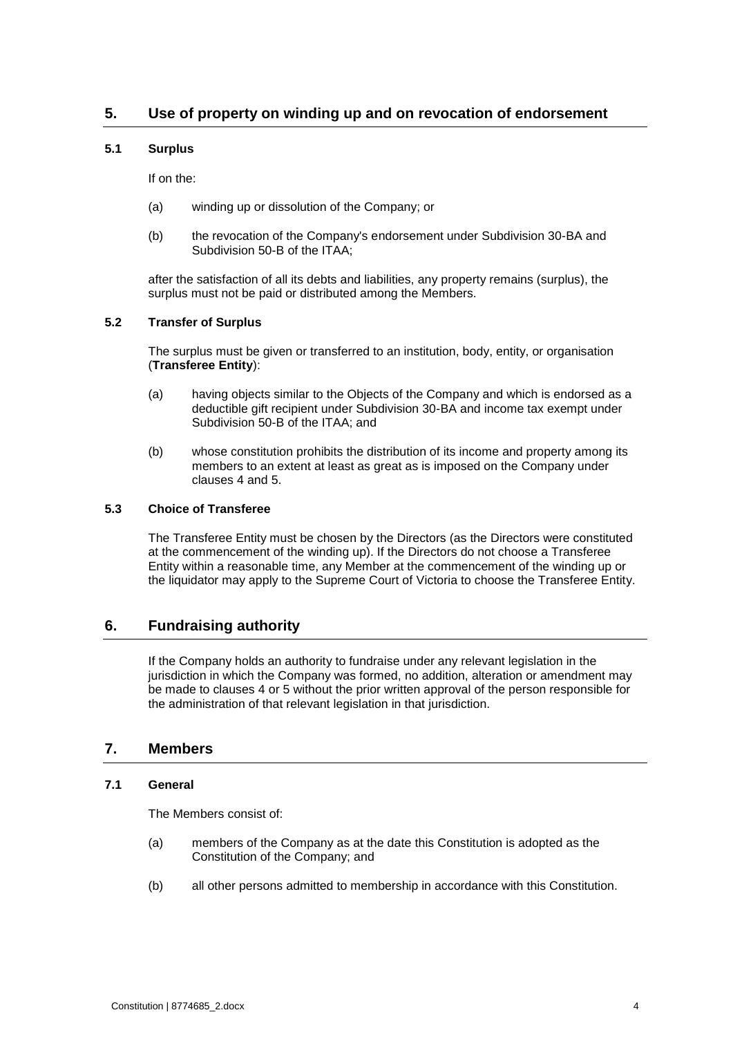# <span id="page-7-0"></span>**5. Use of property on winding up and on revocation of endorsement**

#### **5.1 Surplus**

If on the:

- (a) winding up or dissolution of the Company; or
- (b) the revocation of the Company's endorsement under Subdivision 30-BA and Subdivision 50-B of the ITAA;

after the satisfaction of all its debts and liabilities, any property remains (surplus), the surplus must not be paid or distributed among the Members.

#### **5.2 Transfer of Surplus**

The surplus must be given or transferred to an institution, body, entity, or organisation (**Transferee Entity**):

- (a) having objects similar to the Objects of the Company and which is endorsed as a deductible gift recipient under Subdivision 30-BA and income tax exempt under Subdivision 50-B of the ITAA; and
- (b) whose constitution prohibits the distribution of its income and property among its members to an extent at least as great as is imposed on the Company under clauses [4](#page-5-1) and [5.](#page-7-0)

#### **5.3 Choice of Transferee**

The Transferee Entity must be chosen by the Directors (as the Directors were constituted at the commencement of the winding up). If the Directors do not choose a Transferee Entity within a reasonable time, any Member at the commencement of the winding up or the liquidator may apply to the Supreme Court of Victoria to choose the Transferee Entity.

# <span id="page-7-1"></span>**6. Fundraising authority**

If the Company holds an authority to fundraise under any relevant legislation in the jurisdiction in which the Company was formed, no addition, alteration or amendment may be made to clauses [4](#page-5-1) or [5](#page-7-0) without the prior written approval of the person responsible for the administration of that relevant legislation in that jurisdiction.

## <span id="page-7-2"></span>**7. Members**

#### **7.1 General**

The Members consist of:

- (a) members of the Company as at the date this Constitution is adopted as the Constitution of the Company; and
- (b) all other persons admitted to membership in accordance with this Constitution.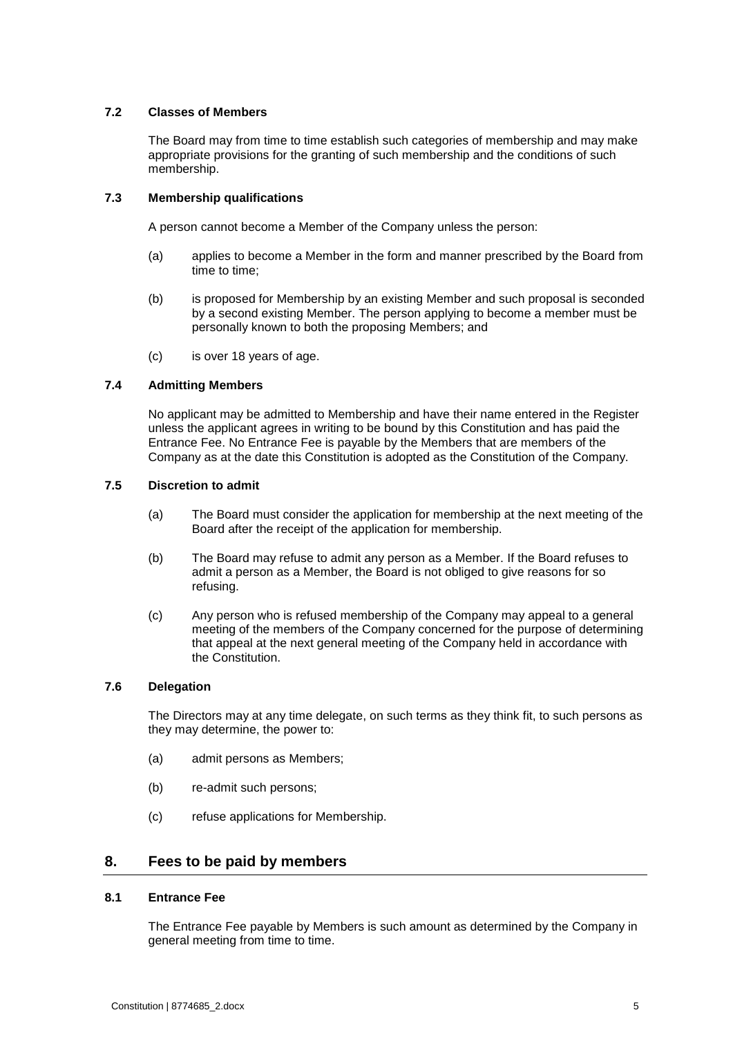#### **7.2 Classes of Members**

The Board may from time to time establish such categories of membership and may make appropriate provisions for the granting of such membership and the conditions of such membership.

#### **7.3 Membership qualifications**

A person cannot become a Member of the Company unless the person:

- (a) applies to become a Member in the form and manner prescribed by the Board from time to time;
- (b) is proposed for Membership by an existing Member and such proposal is seconded by a second existing Member. The person applying to become a member must be personally known to both the proposing Members; and
- (c) is over 18 years of age.

#### **7.4 Admitting Members**

No applicant may be admitted to Membership and have their name entered in the Register unless the applicant agrees in writing to be bound by this Constitution and has paid the Entrance Fee. No Entrance Fee is payable by the Members that are members of the Company as at the date this Constitution is adopted as the Constitution of the Company.

#### **7.5 Discretion to admit**

- (a) The Board must consider the application for membership at the next meeting of the Board after the receipt of the application for membership.
- (b) The Board may refuse to admit any person as a Member. If the Board refuses to admit a person as a Member, the Board is not obliged to give reasons for so refusing.
- (c) Any person who is refused membership of the Company may appeal to a general meeting of the members of the Company concerned for the purpose of determining that appeal at the next general meeting of the Company held in accordance with the Constitution.

#### **7.6 Delegation**

The Directors may at any time delegate, on such terms as they think fit, to such persons as they may determine, the power to:

- (a) admit persons as Members;
- (b) re-admit such persons;
- (c) refuse applications for Membership.

### <span id="page-8-0"></span>**8. Fees to be paid by members**

#### **8.1 Entrance Fee**

The Entrance Fee payable by Members is such amount as determined by the Company in general meeting from time to time.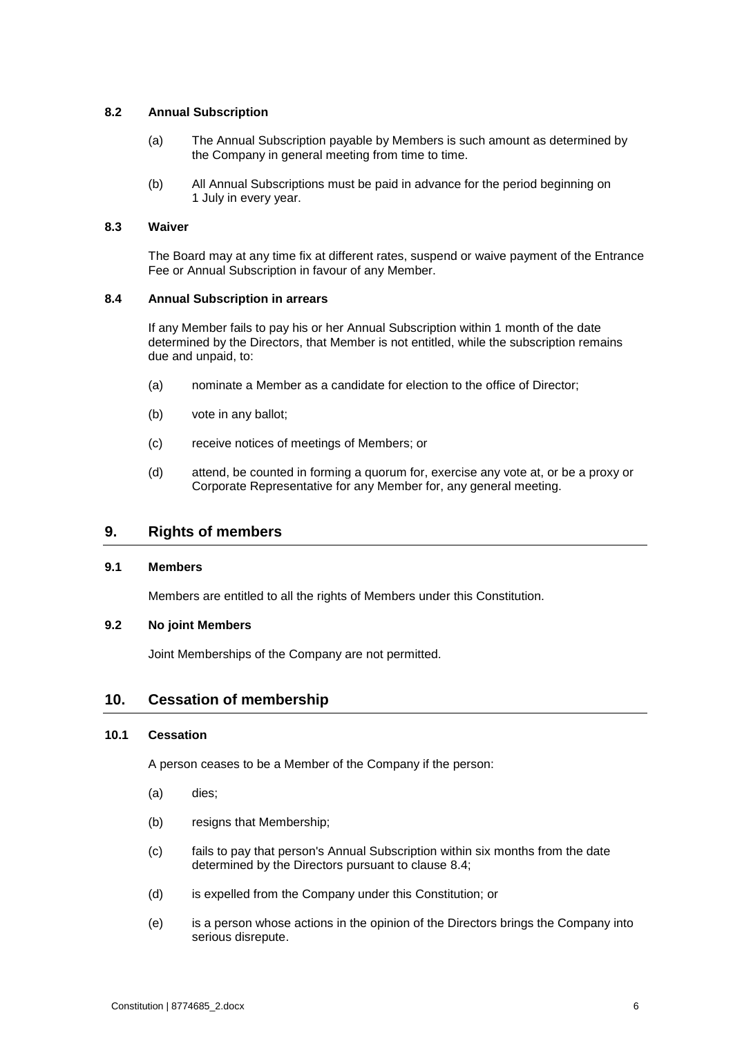#### **8.2 Annual Subscription**

- (a) The Annual Subscription payable by Members is such amount as determined by the Company in general meeting from time to time.
- (b) All Annual Subscriptions must be paid in advance for the period beginning on 1 July in every year.

#### **8.3 Waiver**

The Board may at any time fix at different rates, suspend or waive payment of the Entrance Fee or Annual Subscription in favour of any Member.

#### <span id="page-9-2"></span>**8.4 Annual Subscription in arrears**

If any Member fails to pay his or her Annual Subscription within 1 month of the date determined by the Directors, that Member is not entitled, while the subscription remains due and unpaid, to:

- (a) nominate a Member as a candidate for election to the office of Director;
- (b) vote in any ballot;
- (c) receive notices of meetings of Members; or
- (d) attend, be counted in forming a quorum for, exercise any vote at, or be a proxy or Corporate Representative for any Member for, any general meeting.

# <span id="page-9-0"></span>**9. Rights of members**

#### **9.1 Members**

Members are entitled to all the rights of Members under this Constitution.

#### **9.2 No joint Members**

Joint Memberships of the Company are not permitted.

# <span id="page-9-1"></span>**10. Cessation of membership**

#### **10.1 Cessation**

A person ceases to be a Member of the Company if the person:

- (a) dies;
- (b) resigns that Membership;
- (c) fails to pay that person's Annual Subscription within six months from the date determined by the Directors pursuant to clause [8.4;](#page-9-2)
- (d) is expelled from the Company under this Constitution; or
- (e) is a person whose actions in the opinion of the Directors brings the Company into serious disrepute.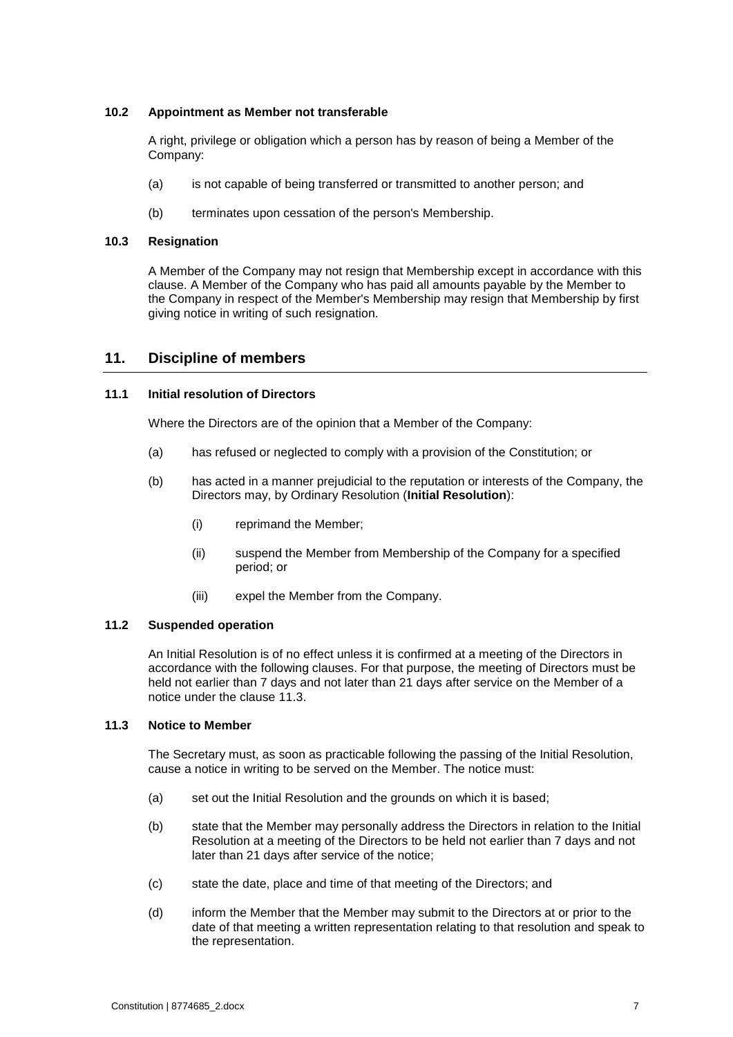#### **10.2 Appointment as Member not transferable**

A right, privilege or obligation which a person has by reason of being a Member of the Company:

- (a) is not capable of being transferred or transmitted to another person; and
- (b) terminates upon cessation of the person's Membership.

#### **10.3 Resignation**

A Member of the Company may not resign that Membership except in accordance with this clause. A Member of the Company who has paid all amounts payable by the Member to the Company in respect of the Member's Membership may resign that Membership by first giving notice in writing of such resignation.

# <span id="page-10-0"></span>**11. Discipline of members**

#### **11.1 Initial resolution of Directors**

Where the Directors are of the opinion that a Member of the Company:

- (a) has refused or neglected to comply with a provision of the Constitution; or
- (b) has acted in a manner prejudicial to the reputation or interests of the Company, the Directors may, by Ordinary Resolution (**Initial Resolution**):
	- (i) reprimand the Member;
	- (ii) suspend the Member from Membership of the Company for a specified period; or
	- (iii) expel the Member from the Company.

#### **11.2 Suspended operation**

An Initial Resolution is of no effect unless it is confirmed at a meeting of the Directors in accordance with the following clauses. For that purpose, the meeting of Directors must be held not earlier than 7 days and not later than 21 days after service on the Member of a notice under the clause [11.3.](#page-10-1)

### <span id="page-10-1"></span>**11.3 Notice to Member**

The Secretary must, as soon as practicable following the passing of the Initial Resolution, cause a notice in writing to be served on the Member. The notice must:

- (a) set out the Initial Resolution and the grounds on which it is based;
- (b) state that the Member may personally address the Directors in relation to the Initial Resolution at a meeting of the Directors to be held not earlier than 7 days and not later than 21 days after service of the notice;
- (c) state the date, place and time of that meeting of the Directors; and
- (d) inform the Member that the Member may submit to the Directors at or prior to the date of that meeting a written representation relating to that resolution and speak to the representation.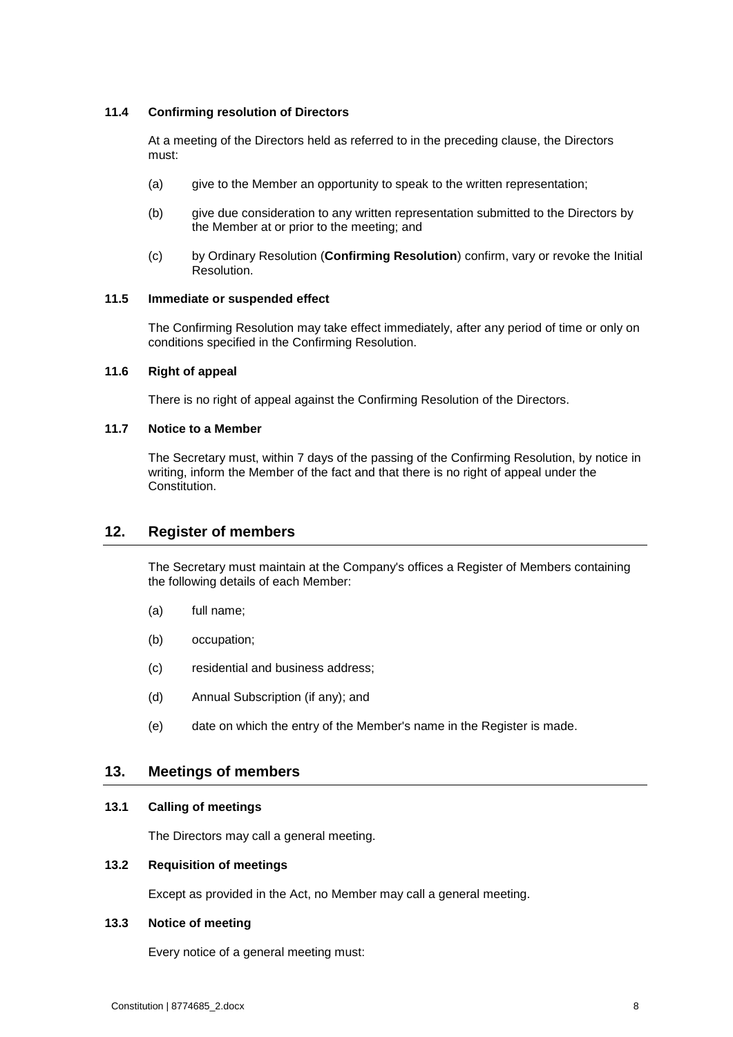#### **11.4 Confirming resolution of Directors**

At a meeting of the Directors held as referred to in the preceding clause, the Directors must:

- (a) give to the Member an opportunity to speak to the written representation;
- (b) give due consideration to any written representation submitted to the Directors by the Member at or prior to the meeting; and
- (c) by Ordinary Resolution (**Confirming Resolution**) confirm, vary or revoke the Initial Resolution.

#### **11.5 Immediate or suspended effect**

The Confirming Resolution may take effect immediately, after any period of time or only on conditions specified in the Confirming Resolution.

#### **11.6 Right of appeal**

There is no right of appeal against the Confirming Resolution of the Directors.

#### **11.7 Notice to a Member**

The Secretary must, within 7 days of the passing of the Confirming Resolution, by notice in writing, inform the Member of the fact and that there is no right of appeal under the Constitution.

# <span id="page-11-0"></span>**12. Register of members**

The Secretary must maintain at the Company's offices a Register of Members containing the following details of each Member:

- (a) full name;
- (b) occupation;
- (c) residential and business address;
- (d) Annual Subscription (if any); and
- (e) date on which the entry of the Member's name in the Register is made.

### <span id="page-11-1"></span>**13. Meetings of members**

#### **13.1 Calling of meetings**

The Directors may call a general meeting.

#### **13.2 Requisition of meetings**

Except as provided in the Act, no Member may call a general meeting.

#### **13.3 Notice of meeting**

Every notice of a general meeting must: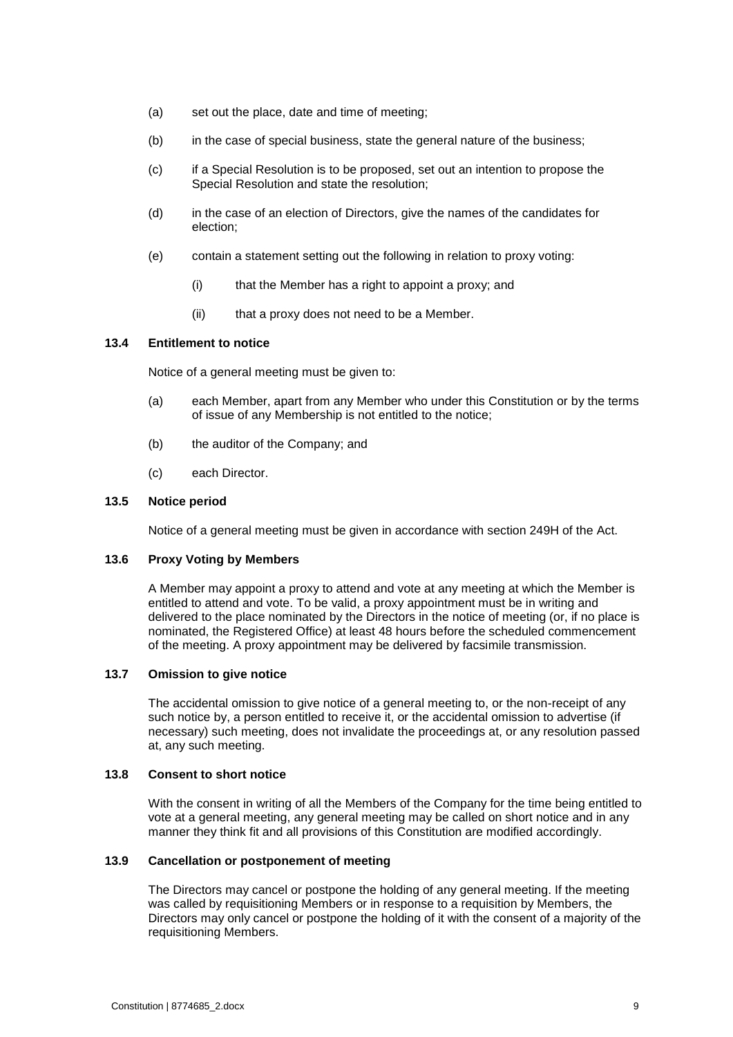- (a) set out the place, date and time of meeting;
- (b) in the case of special business, state the general nature of the business;
- (c) if a Special Resolution is to be proposed, set out an intention to propose the Special Resolution and state the resolution;
- (d) in the case of an election of Directors, give the names of the candidates for election;
- (e) contain a statement setting out the following in relation to proxy voting:
	- (i) that the Member has a right to appoint a proxy; and
	- (ii) that a proxy does not need to be a Member.

#### **13.4 Entitlement to notice**

Notice of a general meeting must be given to:

- (a) each Member, apart from any Member who under this Constitution or by the terms of issue of any Membership is not entitled to the notice;
- (b) the auditor of the Company; and
- (c) each Director.

#### **13.5 Notice period**

Notice of a general meeting must be given in accordance with section 249H of the Act.

#### **13.6 Proxy Voting by Members**

A Member may appoint a proxy to attend and vote at any meeting at which the Member is entitled to attend and vote. To be valid, a proxy appointment must be in writing and delivered to the place nominated by the Directors in the notice of meeting (or, if no place is nominated, the Registered Office) at least 48 hours before the scheduled commencement of the meeting. A proxy appointment may be delivered by facsimile transmission.

#### **13.7 Omission to give notice**

The accidental omission to give notice of a general meeting to, or the non-receipt of any such notice by, a person entitled to receive it, or the accidental omission to advertise (if necessary) such meeting, does not invalidate the proceedings at, or any resolution passed at, any such meeting.

#### **13.8 Consent to short notice**

With the consent in writing of all the Members of the Company for the time being entitled to vote at a general meeting, any general meeting may be called on short notice and in any manner they think fit and all provisions of this Constitution are modified accordingly.

#### **13.9 Cancellation or postponement of meeting**

The Directors may cancel or postpone the holding of any general meeting. If the meeting was called by requisitioning Members or in response to a requisition by Members, the Directors may only cancel or postpone the holding of it with the consent of a majority of the requisitioning Members.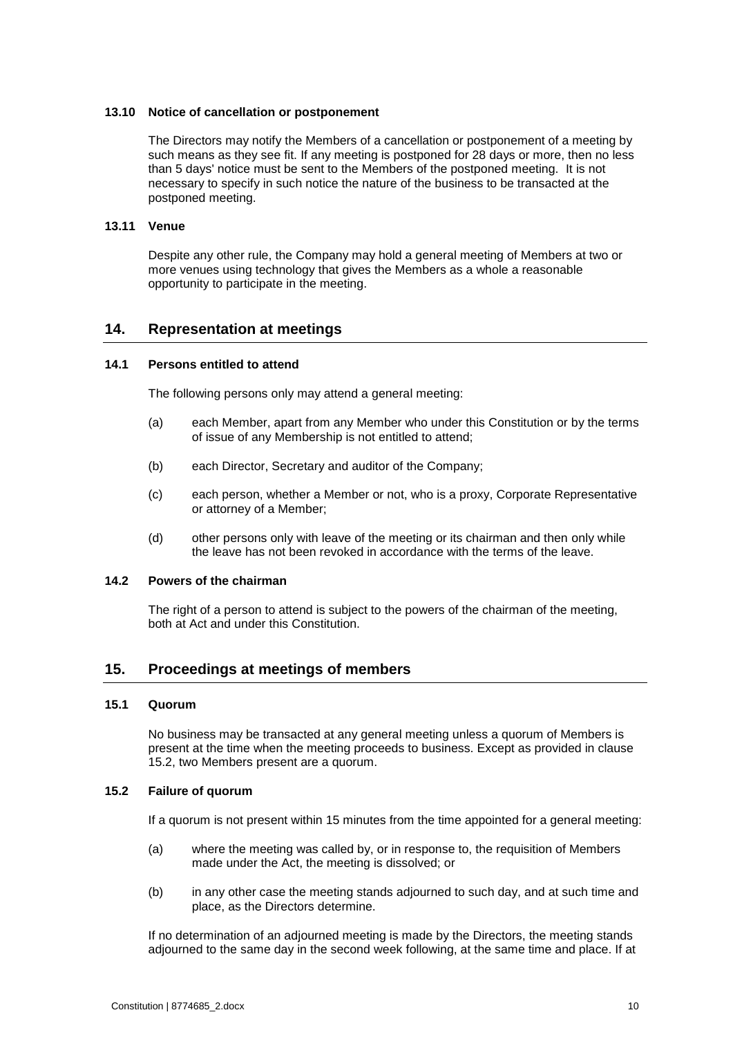#### **13.10 Notice of cancellation or postponement**

The Directors may notify the Members of a cancellation or postponement of a meeting by such means as they see fit. If any meeting is postponed for 28 days or more, then no less than 5 days' notice must be sent to the Members of the postponed meeting. It is not necessary to specify in such notice the nature of the business to be transacted at the postponed meeting.

# **13.11 Venue**

Despite any other rule, the Company may hold a general meeting of Members at two or more venues using technology that gives the Members as a whole a reasonable opportunity to participate in the meeting.

# <span id="page-13-0"></span>**14. Representation at meetings**

#### **14.1 Persons entitled to attend**

The following persons only may attend a general meeting:

- (a) each Member, apart from any Member who under this Constitution or by the terms of issue of any Membership is not entitled to attend;
- (b) each Director, Secretary and auditor of the Company;
- (c) each person, whether a Member or not, who is a proxy, Corporate Representative or attorney of a Member;
- (d) other persons only with leave of the meeting or its chairman and then only while the leave has not been revoked in accordance with the terms of the leave.

#### **14.2 Powers of the chairman**

The right of a person to attend is subject to the powers of the chairman of the meeting, both at Act and under this Constitution.

# <span id="page-13-1"></span>**15. Proceedings at meetings of members**

#### **15.1 Quorum**

No business may be transacted at any general meeting unless a quorum of Members is present at the time when the meeting proceeds to business. Except as provided in clause 15.2, two Members present are a quorum.

#### **15.2 Failure of quorum**

If a quorum is not present within 15 minutes from the time appointed for a general meeting:

- (a) where the meeting was called by, or in response to, the requisition of Members made under the Act, the meeting is dissolved; or
- (b) in any other case the meeting stands adjourned to such day, and at such time and place, as the Directors determine.

If no determination of an adjourned meeting is made by the Directors, the meeting stands adjourned to the same day in the second week following, at the same time and place. If at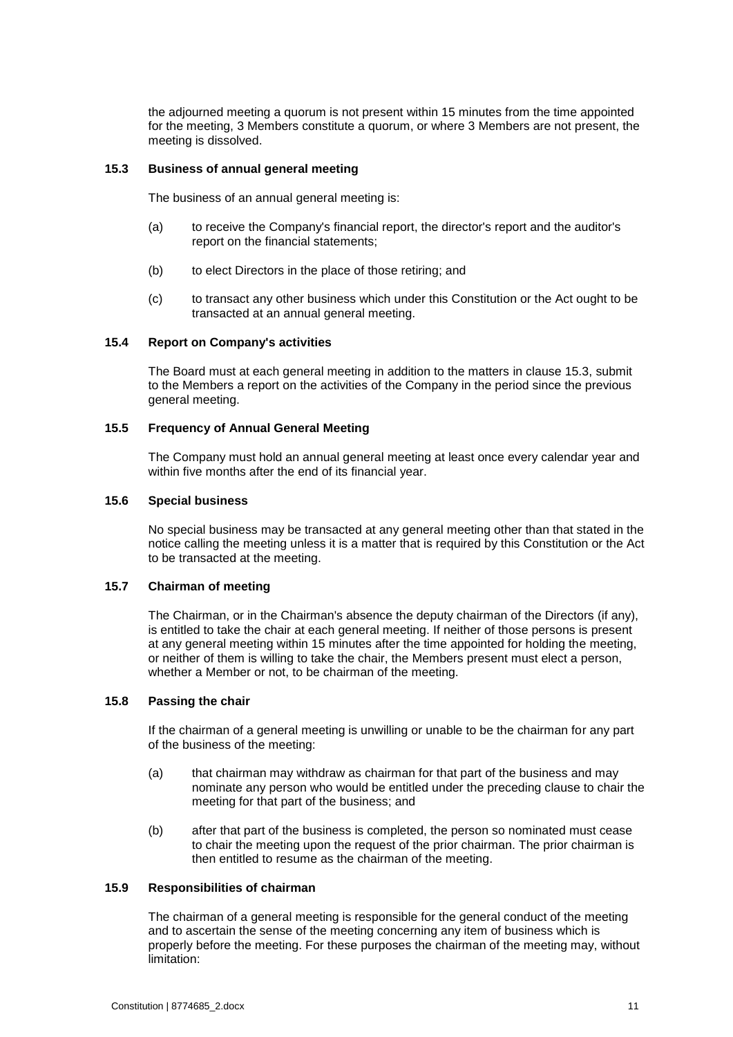the adjourned meeting a quorum is not present within 15 minutes from the time appointed for the meeting, 3 Members constitute a quorum, or where 3 Members are not present, the meeting is dissolved.

#### <span id="page-14-0"></span>**15.3 Business of annual general meeting**

The business of an annual general meeting is:

- (a) to receive the Company's financial report, the director's report and the auditor's report on the financial statements;
- (b) to elect Directors in the place of those retiring; and
- (c) to transact any other business which under this Constitution or the Act ought to be transacted at an annual general meeting.

#### **15.4 Report on Company's activities**

The Board must at each general meeting in addition to the matters in clause [15.3,](#page-14-0) submit to the Members a report on the activities of the Company in the period since the previous general meeting.

#### **15.5 Frequency of Annual General Meeting**

The Company must hold an annual general meeting at least once every calendar year and within five months after the end of its financial year.

#### **15.6 Special business**

No special business may be transacted at any general meeting other than that stated in the notice calling the meeting unless it is a matter that is required by this Constitution or the Act to be transacted at the meeting.

#### **15.7 Chairman of meeting**

The Chairman, or in the Chairman's absence the deputy chairman of the Directors (if any), is entitled to take the chair at each general meeting. If neither of those persons is present at any general meeting within 15 minutes after the time appointed for holding the meeting, or neither of them is willing to take the chair, the Members present must elect a person, whether a Member or not, to be chairman of the meeting.

#### **15.8 Passing the chair**

If the chairman of a general meeting is unwilling or unable to be the chairman for any part of the business of the meeting:

- (a) that chairman may withdraw as chairman for that part of the business and may nominate any person who would be entitled under the preceding clause to chair the meeting for that part of the business; and
- (b) after that part of the business is completed, the person so nominated must cease to chair the meeting upon the request of the prior chairman. The prior chairman is then entitled to resume as the chairman of the meeting.

#### **15.9 Responsibilities of chairman**

The chairman of a general meeting is responsible for the general conduct of the meeting and to ascertain the sense of the meeting concerning any item of business which is properly before the meeting. For these purposes the chairman of the meeting may, without limitation: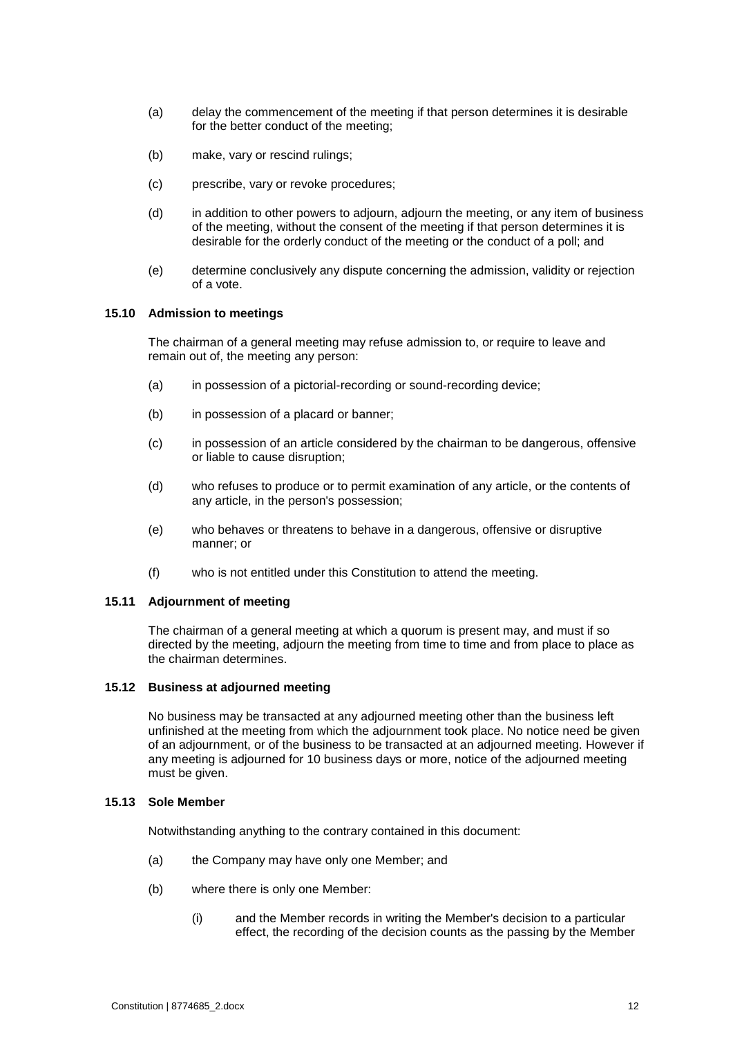- (a) delay the commencement of the meeting if that person determines it is desirable for the better conduct of the meeting;
- (b) make, vary or rescind rulings;
- (c) prescribe, vary or revoke procedures;
- (d) in addition to other powers to adjourn, adjourn the meeting, or any item of business of the meeting, without the consent of the meeting if that person determines it is desirable for the orderly conduct of the meeting or the conduct of a poll; and
- (e) determine conclusively any dispute concerning the admission, validity or rejection of a vote.

#### **15.10 Admission to meetings**

The chairman of a general meeting may refuse admission to, or require to leave and remain out of, the meeting any person:

- (a) in possession of a pictorial-recording or sound-recording device;
- (b) in possession of a placard or banner;
- (c) in possession of an article considered by the chairman to be dangerous, offensive or liable to cause disruption;
- (d) who refuses to produce or to permit examination of any article, or the contents of any article, in the person's possession;
- (e) who behaves or threatens to behave in a dangerous, offensive or disruptive manner; or
- (f) who is not entitled under this Constitution to attend the meeting.

#### **15.11 Adjournment of meeting**

The chairman of a general meeting at which a quorum is present may, and must if so directed by the meeting, adjourn the meeting from time to time and from place to place as the chairman determines.

#### **15.12 Business at adjourned meeting**

No business may be transacted at any adjourned meeting other than the business left unfinished at the meeting from which the adjournment took place. No notice need be given of an adjournment, or of the business to be transacted at an adjourned meeting. However if any meeting is adjourned for 10 business days or more, notice of the adjourned meeting must be given.

#### **15.13 Sole Member**

Notwithstanding anything to the contrary contained in this document:

- (a) the Company may have only one Member; and
- (b) where there is only one Member:
	- (i) and the Member records in writing the Member's decision to a particular effect, the recording of the decision counts as the passing by the Member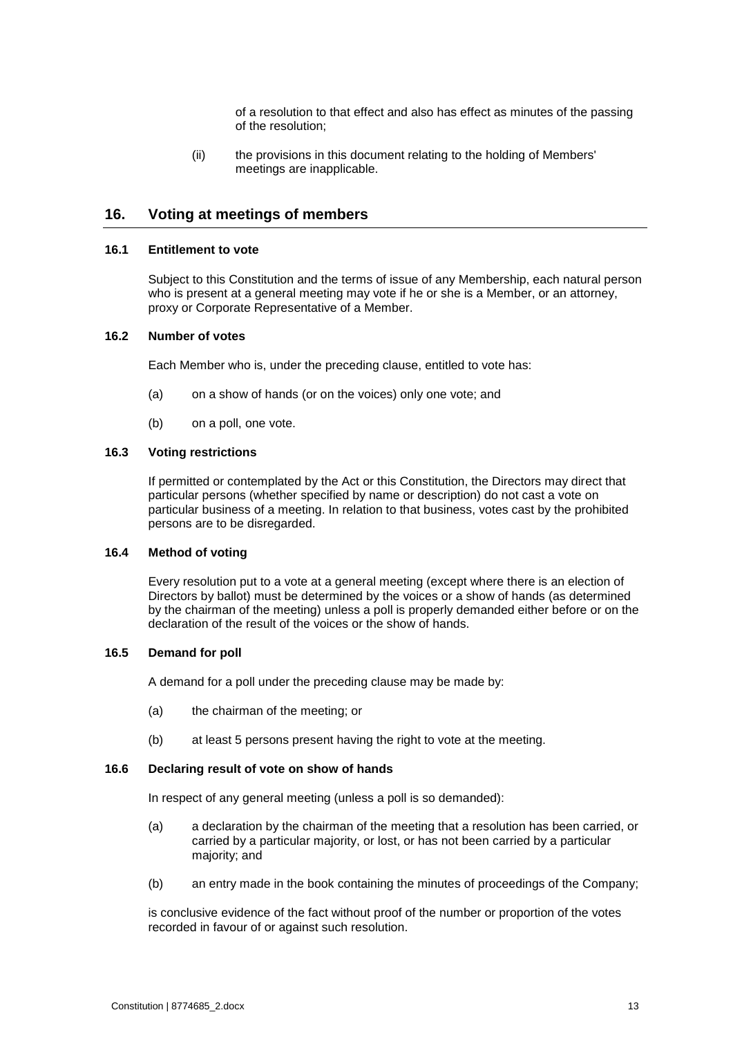of a resolution to that effect and also has effect as minutes of the passing of the resolution;

(ii) the provisions in this document relating to the holding of Members' meetings are inapplicable.

# <span id="page-16-0"></span>**16. Voting at meetings of members**

#### **16.1 Entitlement to vote**

Subject to this Constitution and the terms of issue of any Membership, each natural person who is present at a general meeting may vote if he or she is a Member, or an attorney, proxy or Corporate Representative of a Member.

#### **16.2 Number of votes**

Each Member who is, under the preceding clause, entitled to vote has:

- (a) on a show of hands (or on the voices) only one vote; and
- (b) on a poll, one vote.

#### **16.3 Voting restrictions**

If permitted or contemplated by the Act or this Constitution, the Directors may direct that particular persons (whether specified by name or description) do not cast a vote on particular business of a meeting. In relation to that business, votes cast by the prohibited persons are to be disregarded.

#### **16.4 Method of voting**

Every resolution put to a vote at a general meeting (except where there is an election of Directors by ballot) must be determined by the voices or a show of hands (as determined by the chairman of the meeting) unless a poll is properly demanded either before or on the declaration of the result of the voices or the show of hands.

#### **16.5 Demand for poll**

A demand for a poll under the preceding clause may be made by:

- (a) the chairman of the meeting; or
- (b) at least 5 persons present having the right to vote at the meeting.

#### **16.6 Declaring result of vote on show of hands**

In respect of any general meeting (unless a poll is so demanded):

- (a) a declaration by the chairman of the meeting that a resolution has been carried, or carried by a particular majority, or lost, or has not been carried by a particular majority; and
- (b) an entry made in the book containing the minutes of proceedings of the Company;

is conclusive evidence of the fact without proof of the number or proportion of the votes recorded in favour of or against such resolution.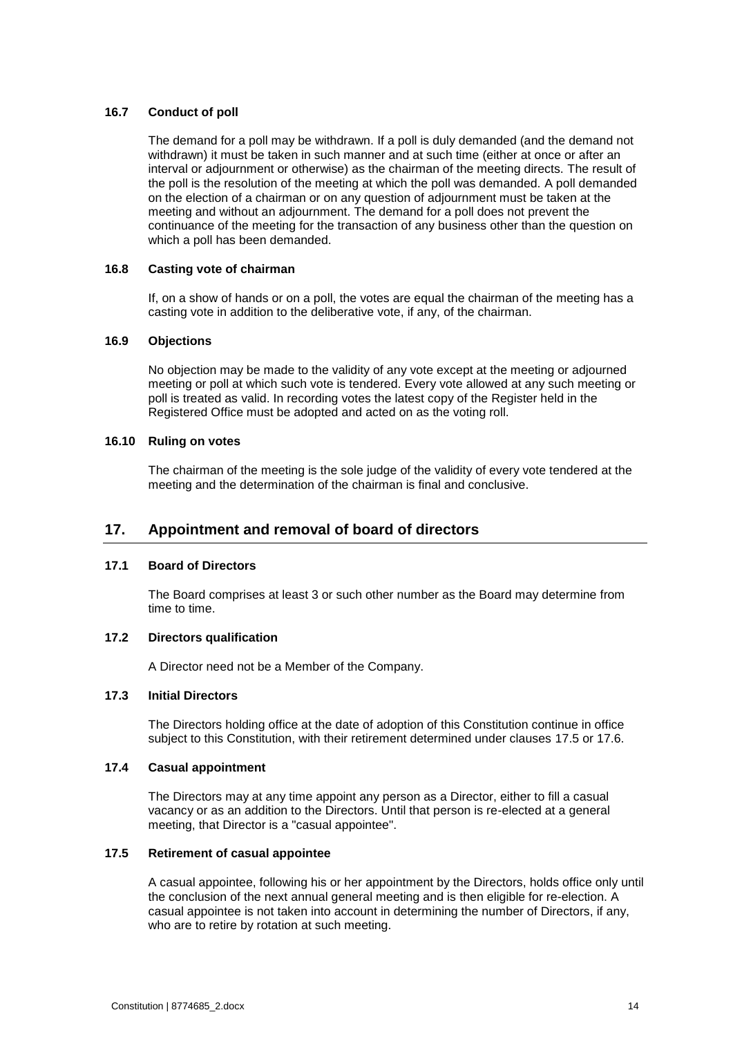#### **16.7 Conduct of poll**

The demand for a poll may be withdrawn. If a poll is duly demanded (and the demand not withdrawn) it must be taken in such manner and at such time (either at once or after an interval or adjournment or otherwise) as the chairman of the meeting directs. The result of the poll is the resolution of the meeting at which the poll was demanded. A poll demanded on the election of a chairman or on any question of adjournment must be taken at the meeting and without an adjournment. The demand for a poll does not prevent the continuance of the meeting for the transaction of any business other than the question on which a poll has been demanded.

#### **16.8 Casting vote of chairman**

If, on a show of hands or on a poll, the votes are equal the chairman of the meeting has a casting vote in addition to the deliberative vote, if any, of the chairman.

#### **16.9 Objections**

No objection may be made to the validity of any vote except at the meeting or adjourned meeting or poll at which such vote is tendered. Every vote allowed at any such meeting or poll is treated as valid. In recording votes the latest copy of the Register held in the Registered Office must be adopted and acted on as the voting roll.

#### **16.10 Ruling on votes**

The chairman of the meeting is the sole judge of the validity of every vote tendered at the meeting and the determination of the chairman is final and conclusive.

# <span id="page-17-0"></span>**17. Appointment and removal of board of directors**

#### **17.1 Board of Directors**

The Board comprises at least 3 or such other number as the Board may determine from time to time.

#### **17.2 Directors qualification**

A Director need not be a Member of the Company.

#### **17.3 Initial Directors**

The Directors holding office at the date of adoption of this Constitution continue in office subject to this Constitution, with their retirement determined under clauses [17.5](#page-17-1) or [17.6.](#page-18-0)

#### **17.4 Casual appointment**

The Directors may at any time appoint any person as a Director, either to fill a casual vacancy or as an addition to the Directors. Until that person is re-elected at a general meeting, that Director is a "casual appointee".

#### <span id="page-17-1"></span>**17.5 Retirement of casual appointee**

A casual appointee, following his or her appointment by the Directors, holds office only until the conclusion of the next annual general meeting and is then eligible for re-election. A casual appointee is not taken into account in determining the number of Directors, if any, who are to retire by rotation at such meeting.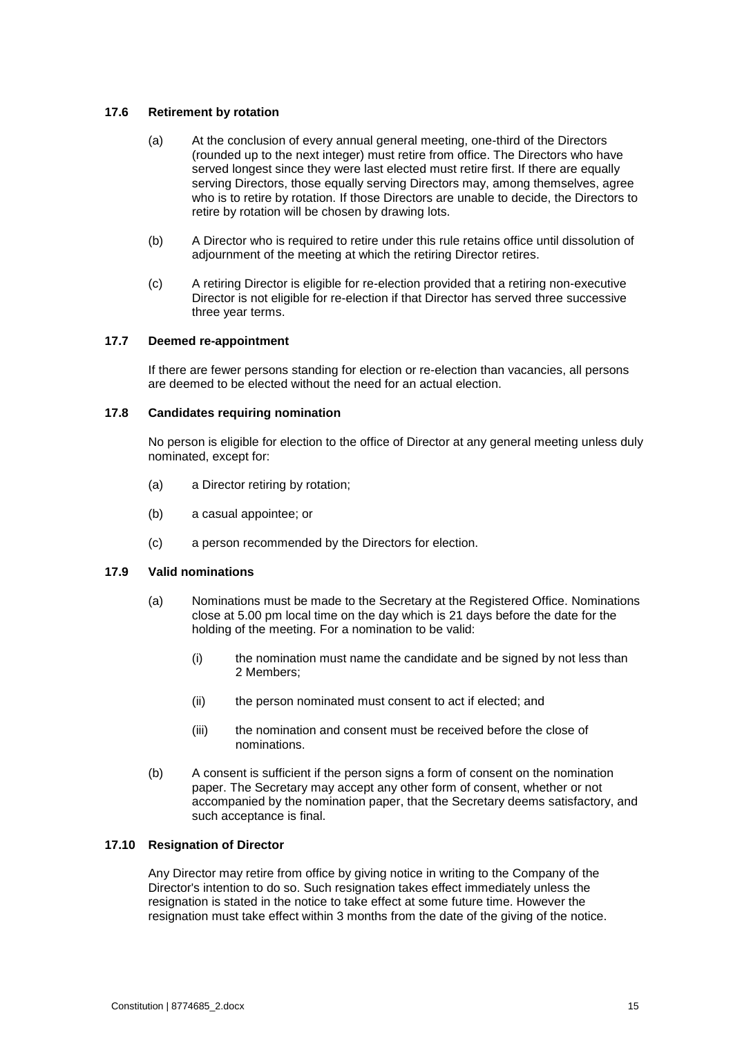#### <span id="page-18-0"></span>**17.6 Retirement by rotation**

- (a) At the conclusion of every annual general meeting, one-third of the Directors (rounded up to the next integer) must retire from office. The Directors who have served longest since they were last elected must retire first. If there are equally serving Directors, those equally serving Directors may, among themselves, agree who is to retire by rotation. If those Directors are unable to decide, the Directors to retire by rotation will be chosen by drawing lots.
- (b) A Director who is required to retire under this rule retains office until dissolution of adjournment of the meeting at which the retiring Director retires.
- (c) A retiring Director is eligible for re-election provided that a retiring non-executive Director is not eligible for re-election if that Director has served three successive three year terms.

#### **17.7 Deemed re-appointment**

If there are fewer persons standing for election or re-election than vacancies, all persons are deemed to be elected without the need for an actual election.

#### **17.8 Candidates requiring nomination**

No person is eligible for election to the office of Director at any general meeting unless duly nominated, except for:

- (a) a Director retiring by rotation;
- (b) a casual appointee; or
- (c) a person recommended by the Directors for election.

#### **17.9 Valid nominations**

- (a) Nominations must be made to the Secretary at the Registered Office. Nominations close at 5.00 pm local time on the day which is 21 days before the date for the holding of the meeting. For a nomination to be valid:
	- (i) the nomination must name the candidate and be signed by not less than 2 Members;
	- (ii) the person nominated must consent to act if elected; and
	- (iii) the nomination and consent must be received before the close of nominations.
- (b) A consent is sufficient if the person signs a form of consent on the nomination paper. The Secretary may accept any other form of consent, whether or not accompanied by the nomination paper, that the Secretary deems satisfactory, and such acceptance is final.

#### **17.10 Resignation of Director**

Any Director may retire from office by giving notice in writing to the Company of the Director's intention to do so. Such resignation takes effect immediately unless the resignation is stated in the notice to take effect at some future time. However the resignation must take effect within 3 months from the date of the giving of the notice.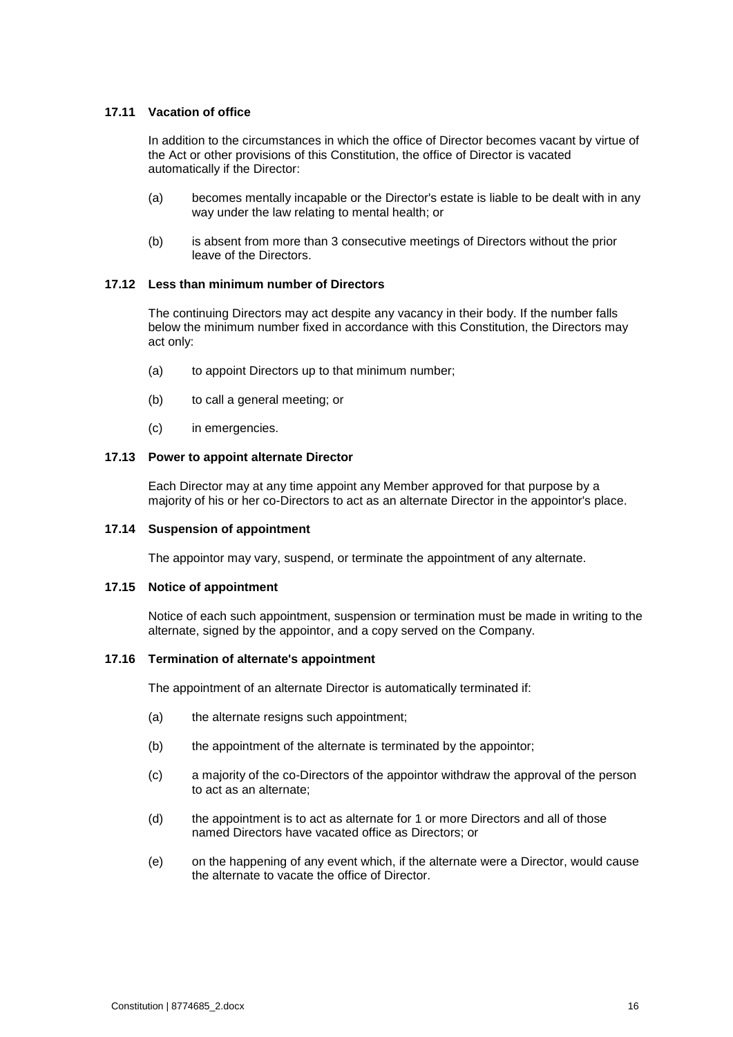#### **17.11 Vacation of office**

In addition to the circumstances in which the office of Director becomes vacant by virtue of the Act or other provisions of this Constitution, the office of Director is vacated automatically if the Director:

- (a) becomes mentally incapable or the Director's estate is liable to be dealt with in any way under the law relating to mental health; or
- (b) is absent from more than 3 consecutive meetings of Directors without the prior leave of the Directors.

#### **17.12 Less than minimum number of Directors**

The continuing Directors may act despite any vacancy in their body. If the number falls below the minimum number fixed in accordance with this Constitution, the Directors may act only:

- (a) to appoint Directors up to that minimum number;
- (b) to call a general meeting; or
- (c) in emergencies.

#### **17.13 Power to appoint alternate Director**

Each Director may at any time appoint any Member approved for that purpose by a majority of his or her co-Directors to act as an alternate Director in the appointor's place.

#### **17.14 Suspension of appointment**

The appointor may vary, suspend, or terminate the appointment of any alternate.

#### **17.15 Notice of appointment**

Notice of each such appointment, suspension or termination must be made in writing to the alternate, signed by the appointor, and a copy served on the Company.

#### **17.16 Termination of alternate's appointment**

The appointment of an alternate Director is automatically terminated if:

- (a) the alternate resigns such appointment;
- (b) the appointment of the alternate is terminated by the appointor;
- (c) a majority of the co-Directors of the appointor withdraw the approval of the person to act as an alternate;
- (d) the appointment is to act as alternate for 1 or more Directors and all of those named Directors have vacated office as Directors; or
- (e) on the happening of any event which, if the alternate were a Director, would cause the alternate to vacate the office of Director.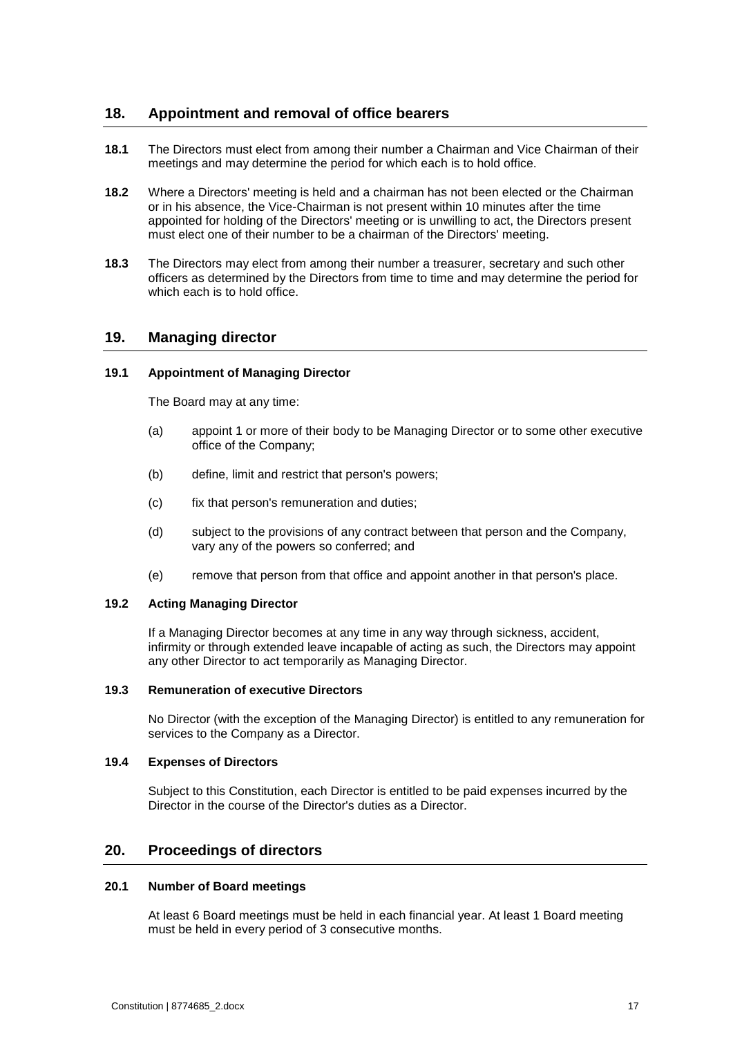# <span id="page-20-0"></span>**18. Appointment and removal of office bearers**

- **18.1** The Directors must elect from among their number a Chairman and Vice Chairman of their meetings and may determine the period for which each is to hold office.
- **18.2** Where a Directors' meeting is held and a chairman has not been elected or the Chairman or in his absence, the Vice-Chairman is not present within 10 minutes after the time appointed for holding of the Directors' meeting or is unwilling to act, the Directors present must elect one of their number to be a chairman of the Directors' meeting.
- **18.3** The Directors may elect from among their number a treasurer, secretary and such other officers as determined by the Directors from time to time and may determine the period for which each is to hold office.

# <span id="page-20-1"></span>**19. Managing director**

#### <span id="page-20-3"></span>**19.1 Appointment of Managing Director**

The Board may at any time:

- (a) appoint 1 or more of their body to be Managing Director or to some other executive office of the Company;
- (b) define, limit and restrict that person's powers;
- (c) fix that person's remuneration and duties;
- (d) subject to the provisions of any contract between that person and the Company, vary any of the powers so conferred; and
- (e) remove that person from that office and appoint another in that person's place.

#### **19.2 Acting Managing Director**

If a Managing Director becomes at any time in any way through sickness, accident, infirmity or through extended leave incapable of acting as such, the Directors may appoint any other Director to act temporarily as Managing Director.

#### **19.3 Remuneration of executive Directors**

No Director (with the exception of the Managing Director) is entitled to any remuneration for services to the Company as a Director.

#### **19.4 Expenses of Directors**

Subject to this Constitution, each Director is entitled to be paid expenses incurred by the Director in the course of the Director's duties as a Director.

### <span id="page-20-2"></span>**20. Proceedings of directors**

#### **20.1 Number of Board meetings**

At least 6 Board meetings must be held in each financial year. At least 1 Board meeting must be held in every period of 3 consecutive months.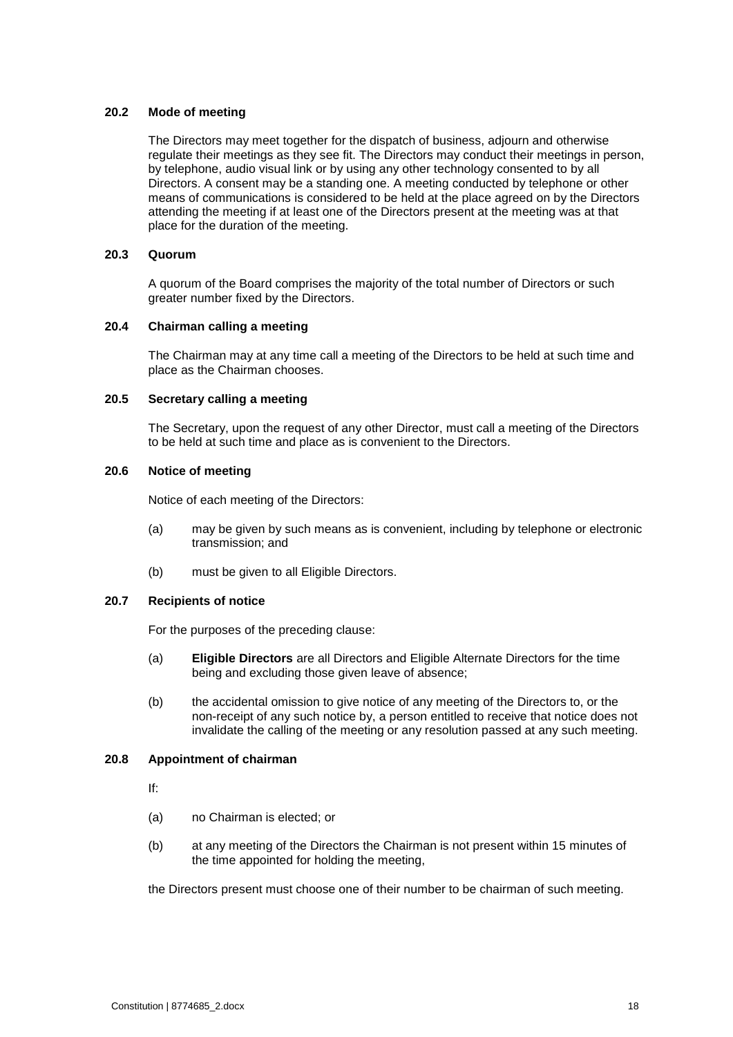#### **20.2 Mode of meeting**

The Directors may meet together for the dispatch of business, adjourn and otherwise regulate their meetings as they see fit. The Directors may conduct their meetings in person, by telephone, audio visual link or by using any other technology consented to by all Directors. A consent may be a standing one. A meeting conducted by telephone or other means of communications is considered to be held at the place agreed on by the Directors attending the meeting if at least one of the Directors present at the meeting was at that place for the duration of the meeting.

#### **20.3 Quorum**

A quorum of the Board comprises the majority of the total number of Directors or such greater number fixed by the Directors.

#### **20.4 Chairman calling a meeting**

The Chairman may at any time call a meeting of the Directors to be held at such time and place as the Chairman chooses.

#### **20.5 Secretary calling a meeting**

The Secretary, upon the request of any other Director, must call a meeting of the Directors to be held at such time and place as is convenient to the Directors.

#### **20.6 Notice of meeting**

Notice of each meeting of the Directors:

- (a) may be given by such means as is convenient, including by telephone or electronic transmission; and
- (b) must be given to all Eligible Directors.

#### **20.7 Recipients of notice**

For the purposes of the preceding clause:

- (a) **Eligible Directors** are all Directors and Eligible Alternate Directors for the time being and excluding those given leave of absence;
- (b) the accidental omission to give notice of any meeting of the Directors to, or the non-receipt of any such notice by, a person entitled to receive that notice does not invalidate the calling of the meeting or any resolution passed at any such meeting.

#### **20.8 Appointment of chairman**

If:

- (a) no Chairman is elected; or
- (b) at any meeting of the Directors the Chairman is not present within 15 minutes of the time appointed for holding the meeting,

the Directors present must choose one of their number to be chairman of such meeting.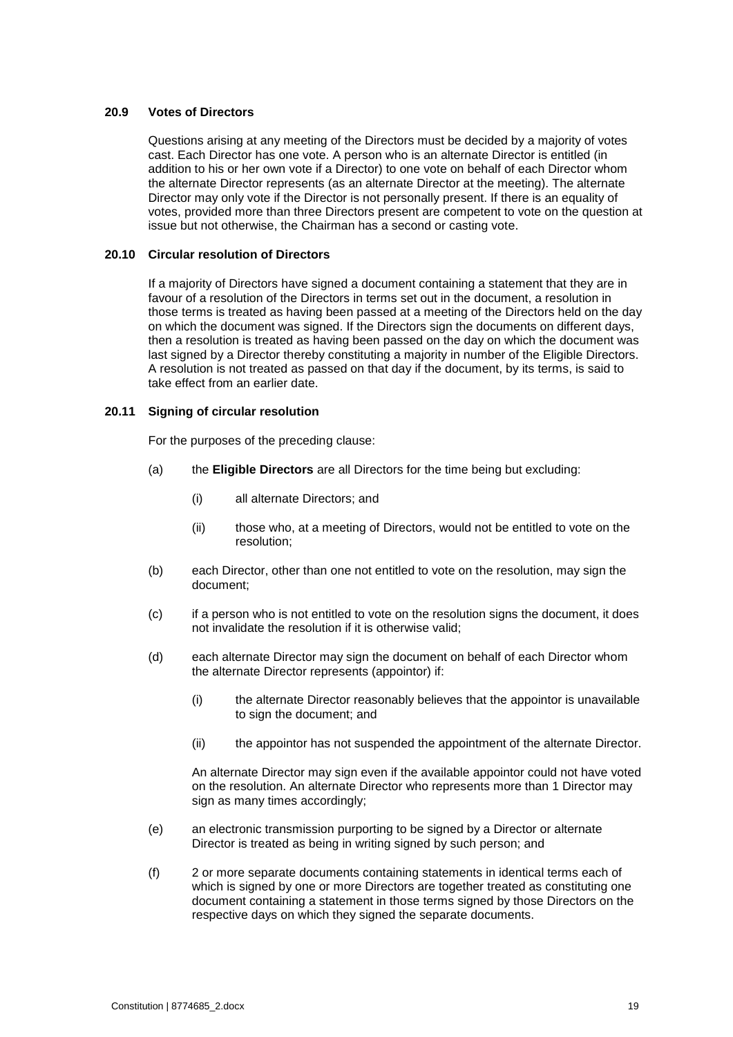#### **20.9 Votes of Directors**

Questions arising at any meeting of the Directors must be decided by a majority of votes cast. Each Director has one vote. A person who is an alternate Director is entitled (in addition to his or her own vote if a Director) to one vote on behalf of each Director whom the alternate Director represents (as an alternate Director at the meeting). The alternate Director may only vote if the Director is not personally present. If there is an equality of votes, provided more than three Directors present are competent to vote on the question at issue but not otherwise, the Chairman has a second or casting vote.

#### **20.10 Circular resolution of Directors**

If a majority of Directors have signed a document containing a statement that they are in favour of a resolution of the Directors in terms set out in the document, a resolution in those terms is treated as having been passed at a meeting of the Directors held on the day on which the document was signed. If the Directors sign the documents on different days, then a resolution is treated as having been passed on the day on which the document was last signed by a Director thereby constituting a majority in number of the Eligible Directors. A resolution is not treated as passed on that day if the document, by its terms, is said to take effect from an earlier date.

#### **20.11 Signing of circular resolution**

For the purposes of the preceding clause:

- (a) the **Eligible Directors** are all Directors for the time being but excluding:
	- (i) all alternate Directors; and
	- (ii) those who, at a meeting of Directors, would not be entitled to vote on the resolution;
- (b) each Director, other than one not entitled to vote on the resolution, may sign the document;
- (c) if a person who is not entitled to vote on the resolution signs the document, it does not invalidate the resolution if it is otherwise valid;
- (d) each alternate Director may sign the document on behalf of each Director whom the alternate Director represents (appointor) if:
	- (i) the alternate Director reasonably believes that the appointor is unavailable to sign the document; and
	- (ii) the appointor has not suspended the appointment of the alternate Director.

An alternate Director may sign even if the available appointor could not have voted on the resolution. An alternate Director who represents more than 1 Director may sign as many times accordingly;

- (e) an electronic transmission purporting to be signed by a Director or alternate Director is treated as being in writing signed by such person; and
- (f) 2 or more separate documents containing statements in identical terms each of which is signed by one or more Directors are together treated as constituting one document containing a statement in those terms signed by those Directors on the respective days on which they signed the separate documents.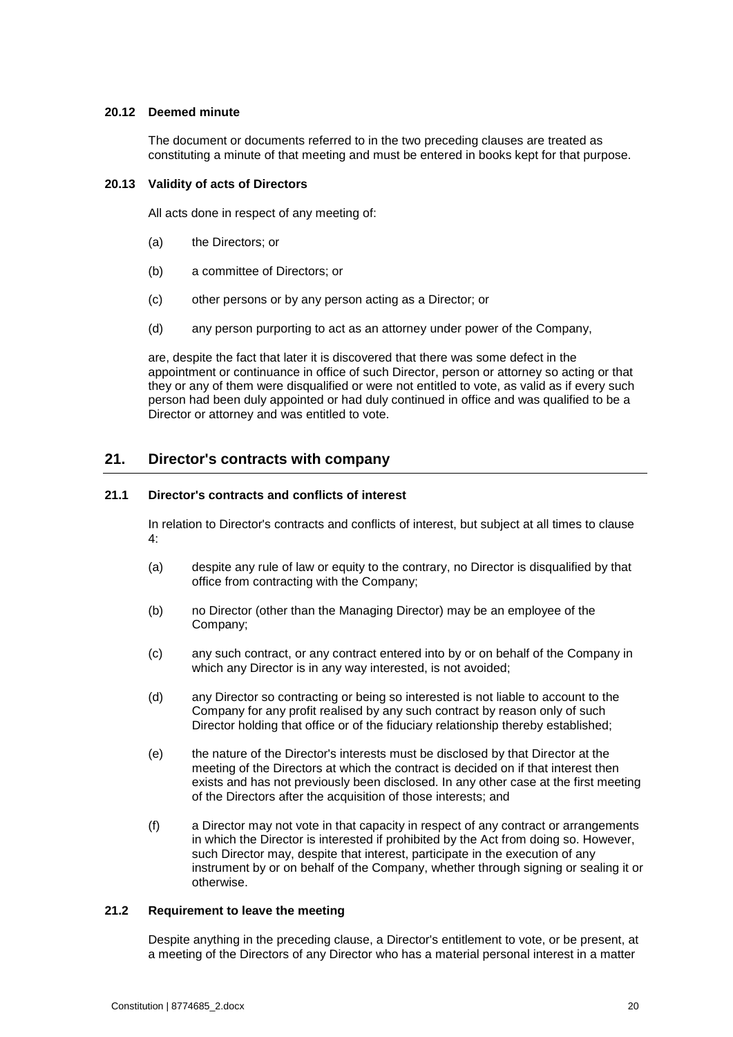#### **20.12 Deemed minute**

The document or documents referred to in the two preceding clauses are treated as constituting a minute of that meeting and must be entered in books kept for that purpose.

### **20.13 Validity of acts of Directors**

All acts done in respect of any meeting of:

- (a) the Directors; or
- (b) a committee of Directors; or
- (c) other persons or by any person acting as a Director; or
- (d) any person purporting to act as an attorney under power of the Company,

are, despite the fact that later it is discovered that there was some defect in the appointment or continuance in office of such Director, person or attorney so acting or that they or any of them were disqualified or were not entitled to vote, as valid as if every such person had been duly appointed or had duly continued in office and was qualified to be a Director or attorney and was entitled to vote.

# <span id="page-23-0"></span>**21. Director's contracts with company**

#### **21.1 Director's contracts and conflicts of interest**

In relation to Director's contracts and conflicts of interest, but subject at all times to clause 4:

- (a) despite any rule of law or equity to the contrary, no Director is disqualified by that office from contracting with the Company;
- (b) no Director (other than the Managing Director) may be an employee of the Company;
- (c) any such contract, or any contract entered into by or on behalf of the Company in which any Director is in any way interested, is not avoided;
- (d) any Director so contracting or being so interested is not liable to account to the Company for any profit realised by any such contract by reason only of such Director holding that office or of the fiduciary relationship thereby established;
- (e) the nature of the Director's interests must be disclosed by that Director at the meeting of the Directors at which the contract is decided on if that interest then exists and has not previously been disclosed. In any other case at the first meeting of the Directors after the acquisition of those interests; and
- (f) a Director may not vote in that capacity in respect of any contract or arrangements in which the Director is interested if prohibited by the Act from doing so. However, such Director may, despite that interest, participate in the execution of any instrument by or on behalf of the Company, whether through signing or sealing it or otherwise.

#### **21.2 Requirement to leave the meeting**

Despite anything in the preceding clause, a Director's entitlement to vote, or be present, at a meeting of the Directors of any Director who has a material personal interest in a matter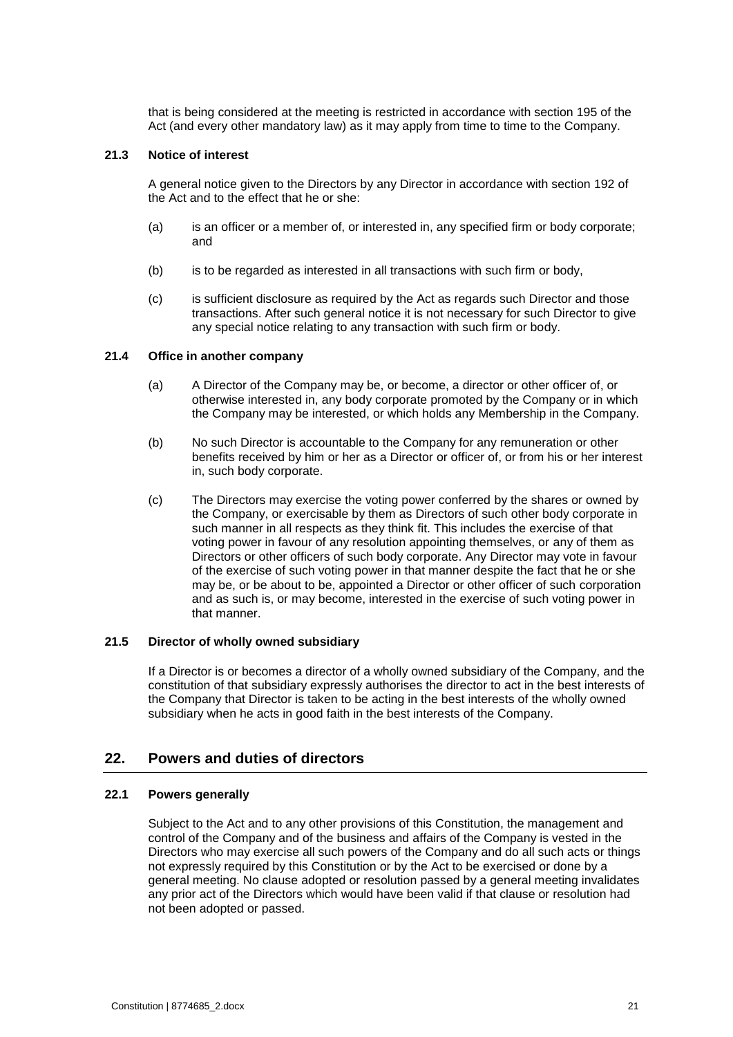that is being considered at the meeting is restricted in accordance with section 195 of the Act (and every other mandatory law) as it may apply from time to time to the Company.

#### **21.3 Notice of interest**

A general notice given to the Directors by any Director in accordance with section 192 of the Act and to the effect that he or she:

- (a) is an officer or a member of, or interested in, any specified firm or body corporate; and
- (b) is to be regarded as interested in all transactions with such firm or body,
- (c) is sufficient disclosure as required by the Act as regards such Director and those transactions. After such general notice it is not necessary for such Director to give any special notice relating to any transaction with such firm or body.

#### **21.4 Office in another company**

- (a) A Director of the Company may be, or become, a director or other officer of, or otherwise interested in, any body corporate promoted by the Company or in which the Company may be interested, or which holds any Membership in the Company.
- (b) No such Director is accountable to the Company for any remuneration or other benefits received by him or her as a Director or officer of, or from his or her interest in, such body corporate.
- (c) The Directors may exercise the voting power conferred by the shares or owned by the Company, or exercisable by them as Directors of such other body corporate in such manner in all respects as they think fit. This includes the exercise of that voting power in favour of any resolution appointing themselves, or any of them as Directors or other officers of such body corporate. Any Director may vote in favour of the exercise of such voting power in that manner despite the fact that he or she may be, or be about to be, appointed a Director or other officer of such corporation and as such is, or may become, interested in the exercise of such voting power in that manner.

#### **21.5 Director of wholly owned subsidiary**

If a Director is or becomes a director of a wholly owned subsidiary of the Company, and the constitution of that subsidiary expressly authorises the director to act in the best interests of the Company that Director is taken to be acting in the best interests of the wholly owned subsidiary when he acts in good faith in the best interests of the Company.

# <span id="page-24-0"></span>**22. Powers and duties of directors**

#### **22.1 Powers generally**

Subject to the Act and to any other provisions of this Constitution, the management and control of the Company and of the business and affairs of the Company is vested in the Directors who may exercise all such powers of the Company and do all such acts or things not expressly required by this Constitution or by the Act to be exercised or done by a general meeting. No clause adopted or resolution passed by a general meeting invalidates any prior act of the Directors which would have been valid if that clause or resolution had not been adopted or passed.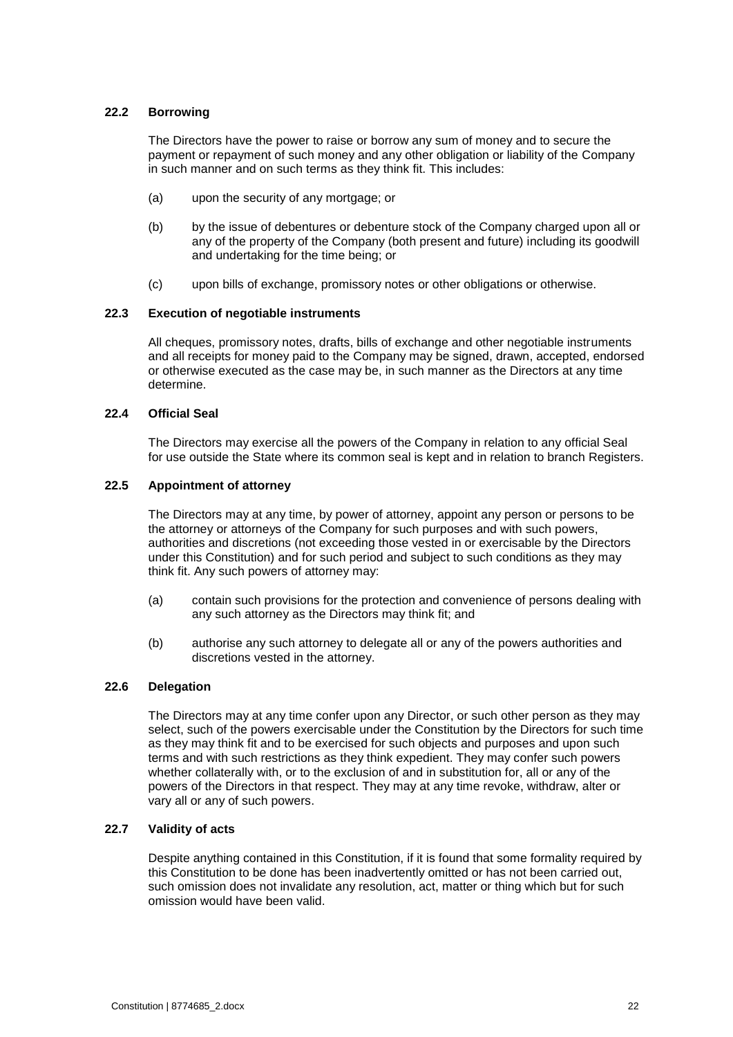#### **22.2 Borrowing**

The Directors have the power to raise or borrow any sum of money and to secure the payment or repayment of such money and any other obligation or liability of the Company in such manner and on such terms as they think fit. This includes:

- (a) upon the security of any mortgage; or
- (b) by the issue of debentures or debenture stock of the Company charged upon all or any of the property of the Company (both present and future) including its goodwill and undertaking for the time being; or
- (c) upon bills of exchange, promissory notes or other obligations or otherwise.

#### **22.3 Execution of negotiable instruments**

All cheques, promissory notes, drafts, bills of exchange and other negotiable instruments and all receipts for money paid to the Company may be signed, drawn, accepted, endorsed or otherwise executed as the case may be, in such manner as the Directors at any time determine.

#### **22.4 Official Seal**

The Directors may exercise all the powers of the Company in relation to any official Seal for use outside the State where its common seal is kept and in relation to branch Registers.

#### **22.5 Appointment of attorney**

The Directors may at any time, by power of attorney, appoint any person or persons to be the attorney or attorneys of the Company for such purposes and with such powers, authorities and discretions (not exceeding those vested in or exercisable by the Directors under this Constitution) and for such period and subject to such conditions as they may think fit. Any such powers of attorney may:

- (a) contain such provisions for the protection and convenience of persons dealing with any such attorney as the Directors may think fit; and
- (b) authorise any such attorney to delegate all or any of the powers authorities and discretions vested in the attorney.

#### **22.6 Delegation**

The Directors may at any time confer upon any Director, or such other person as they may select, such of the powers exercisable under the Constitution by the Directors for such time as they may think fit and to be exercised for such objects and purposes and upon such terms and with such restrictions as they think expedient. They may confer such powers whether collaterally with, or to the exclusion of and in substitution for, all or any of the powers of the Directors in that respect. They may at any time revoke, withdraw, alter or vary all or any of such powers.

#### **22.7 Validity of acts**

Despite anything contained in this Constitution, if it is found that some formality required by this Constitution to be done has been inadvertently omitted or has not been carried out, such omission does not invalidate any resolution, act, matter or thing which but for such omission would have been valid.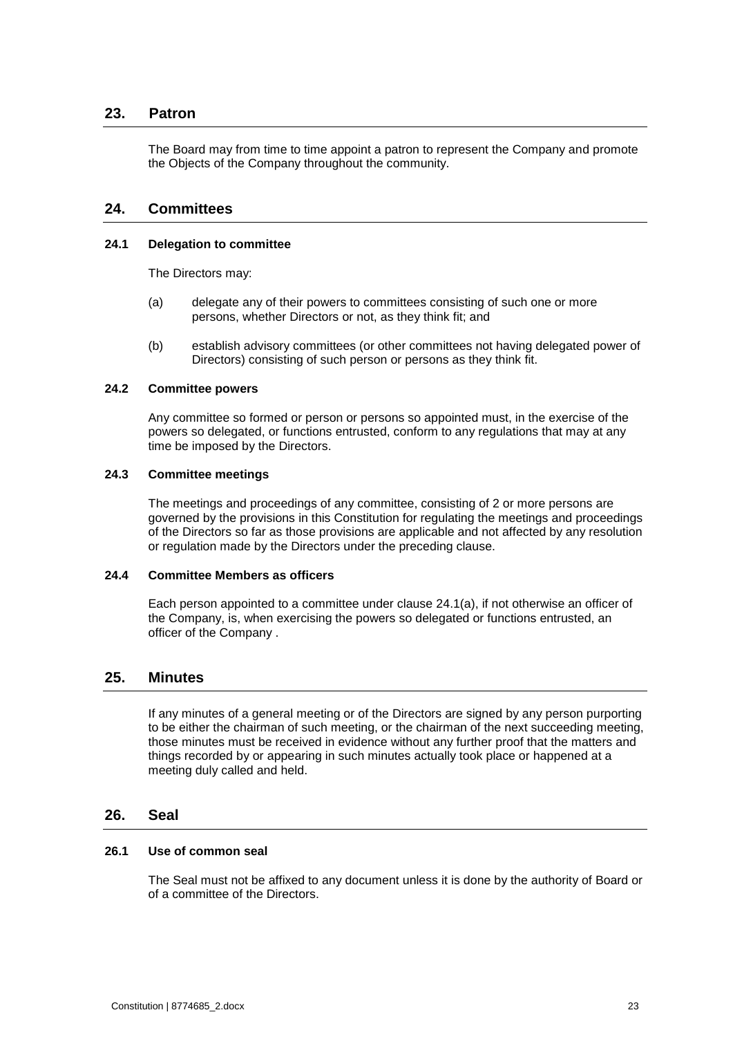# **23. Patron**

<span id="page-26-0"></span>The Board may from time to time appoint a patron to represent the Company and promote the Objects of the Company throughout the community.

# <span id="page-26-1"></span>**24. Committees**

#### <span id="page-26-4"></span>**24.1 Delegation to committee**

The Directors may:

- (a) delegate any of their powers to committees consisting of such one or more persons, whether Directors or not, as they think fit; and
- (b) establish advisory committees (or other committees not having delegated power of Directors) consisting of such person or persons as they think fit.

#### **24.2 Committee powers**

Any committee so formed or person or persons so appointed must, in the exercise of the powers so delegated, or functions entrusted, conform to any regulations that may at any time be imposed by the Directors.

#### **24.3 Committee meetings**

The meetings and proceedings of any committee, consisting of 2 or more persons are governed by the provisions in this Constitution for regulating the meetings and proceedings of the Directors so far as those provisions are applicable and not affected by any resolution or regulation made by the Directors under the preceding clause.

#### **24.4 Committee Members as officers**

Each person appointed to a committee under clause [24.1\(a\),](#page-26-4) if not otherwise an officer of the Company, is, when exercising the powers so delegated or functions entrusted, an officer of the Company .

# <span id="page-26-2"></span>**25. Minutes**

If any minutes of a general meeting or of the Directors are signed by any person purporting to be either the chairman of such meeting, or the chairman of the next succeeding meeting, those minutes must be received in evidence without any further proof that the matters and things recorded by or appearing in such minutes actually took place or happened at a meeting duly called and held.

### <span id="page-26-3"></span>**26. Seal**

#### **26.1 Use of common seal**

The Seal must not be affixed to any document unless it is done by the authority of Board or of a committee of the Directors.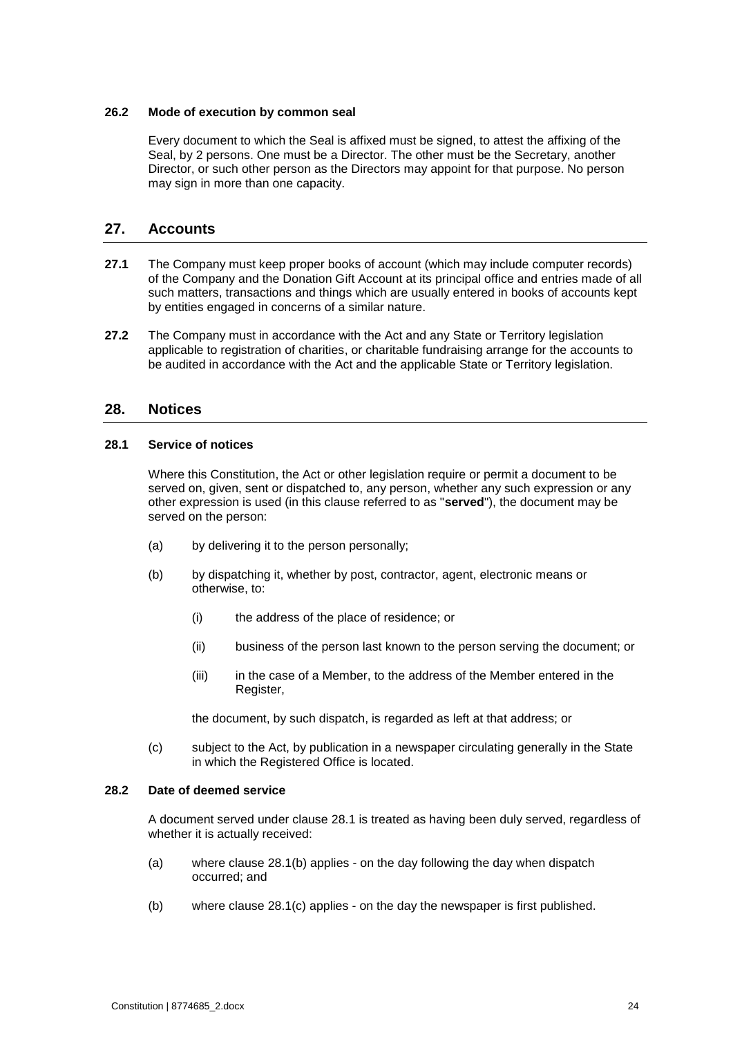#### **26.2 Mode of execution by common seal**

Every document to which the Seal is affixed must be signed, to attest the affixing of the Seal, by 2 persons. One must be a Director. The other must be the Secretary, another Director, or such other person as the Directors may appoint for that purpose. No person may sign in more than one capacity.

# <span id="page-27-0"></span>**27. Accounts**

- **27.1** The Company must keep proper books of account (which may include computer records) of the Company and the Donation Gift Account at its principal office and entries made of all such matters, transactions and things which are usually entered in books of accounts kept by entities engaged in concerns of a similar nature.
- **27.2** The Company must in accordance with the Act and any State or Territory legislation applicable to registration of charities, or charitable fundraising arrange for the accounts to be audited in accordance with the Act and the applicable State or Territory legislation.

# <span id="page-27-1"></span>**28. Notices**

#### <span id="page-27-2"></span>**28.1 Service of notices**

Where this Constitution, the Act or other legislation require or permit a document to be served on, given, sent or dispatched to, any person, whether any such expression or any other expression is used (in this clause referred to as "**served**"), the document may be served on the person:

- <span id="page-27-3"></span>(a) by delivering it to the person personally;
- (b) by dispatching it, whether by post, contractor, agent, electronic means or otherwise, to:
	- (i) the address of the place of residence; or
	- (ii) business of the person last known to the person serving the document; or
	- (iii) in the case of a Member, to the address of the Member entered in the Register,

the document, by such dispatch, is regarded as left at that address; or

<span id="page-27-4"></span>(c) subject to the Act, by publication in a newspaper circulating generally in the State in which the Registered Office is located.

#### **28.2 Date of deemed service**

A document served under clause [28.1](#page-27-2) is treated as having been duly served, regardless of whether it is actually received:

- (a) where clause [28.1\(b\)](#page-27-3) applies on the day following the day when dispatch occurred; and
- (b) where clause [28.1\(c\)](#page-27-4) applies on the day the newspaper is first published.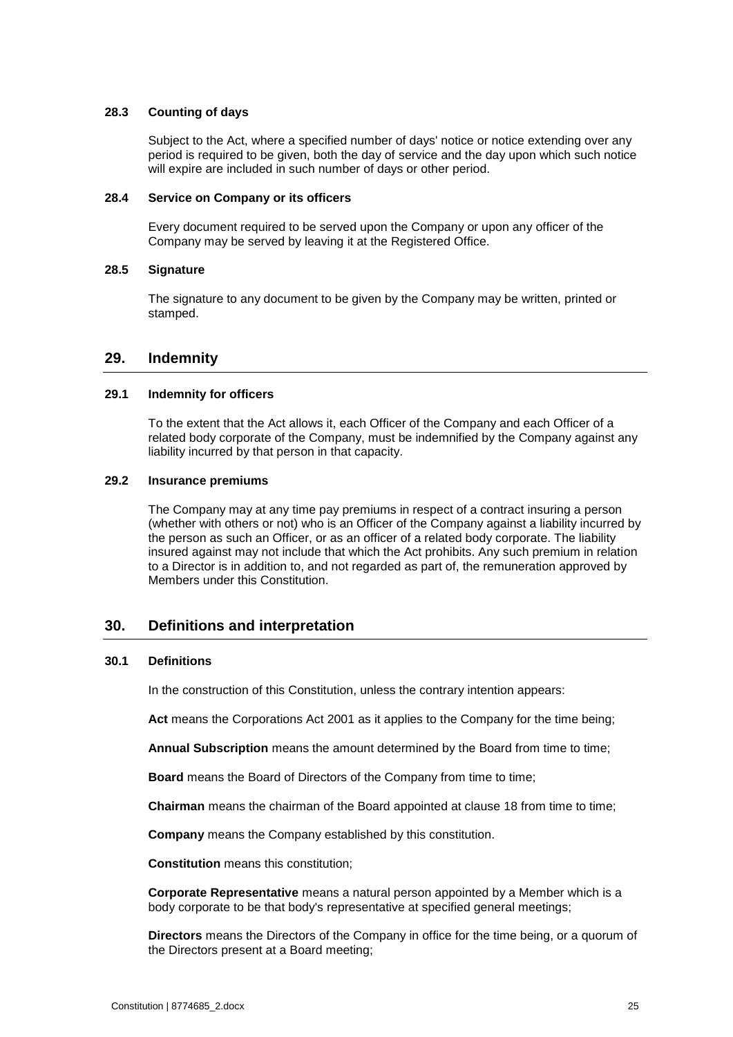#### **28.3 Counting of days**

Subject to the Act, where a specified number of days' notice or notice extending over any period is required to be given, both the day of service and the day upon which such notice will expire are included in such number of days or other period.

#### **28.4 Service on Company or its officers**

Every document required to be served upon the Company or upon any officer of the Company may be served by leaving it at the Registered Office.

#### **28.5 Signature**

The signature to any document to be given by the Company may be written, printed or stamped.

# <span id="page-28-0"></span>**29. Indemnity**

#### **29.1 Indemnity for officers**

To the extent that the Act allows it, each Officer of the Company and each Officer of a related body corporate of the Company, must be indemnified by the Company against any liability incurred by that person in that capacity.

#### **29.2 Insurance premiums**

The Company may at any time pay premiums in respect of a contract insuring a person (whether with others or not) who is an Officer of the Company against a liability incurred by the person as such an Officer, or as an officer of a related body corporate. The liability insured against may not include that which the Act prohibits. Any such premium in relation to a Director is in addition to, and not regarded as part of, the remuneration approved by Members under this Constitution.

# <span id="page-28-1"></span>**30. Definitions and interpretation**

#### **30.1 Definitions**

In the construction of this Constitution, unless the contrary intention appears:

**Act** means the Corporations Act 2001 as it applies to the Company for the time being;

**Annual Subscription** means the amount determined by the Board from time to time;

**Board** means the Board of Directors of the Company from time to time;

**Chairman** means the chairman of the Board appointed at clause [18](#page-20-0) from time to time;

**Company** means the Company established by this constitution.

**Constitution** means this constitution;

**Corporate Representative** means a natural person appointed by a Member which is a body corporate to be that body's representative at specified general meetings;

**Directors** means the Directors of the Company in office for the time being, or a quorum of the Directors present at a Board meeting;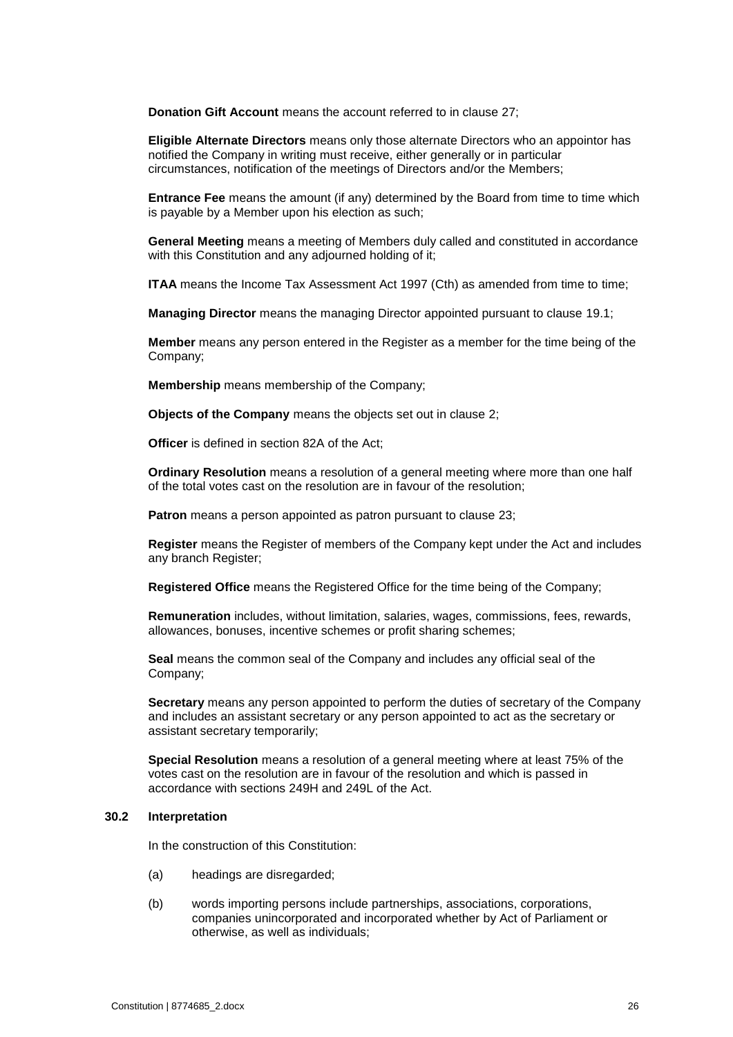**Donation Gift Account** means the account referred to in clause 27;

**Eligible Alternate Directors** means only those alternate Directors who an appointor has notified the Company in writing must receive, either generally or in particular circumstances, notification of the meetings of Directors and/or the Members;

**Entrance Fee** means the amount (if any) determined by the Board from time to time which is payable by a Member upon his election as such;

**General Meeting** means a meeting of Members duly called and constituted in accordance with this Constitution and any adjourned holding of it;

**ITAA** means the Income Tax Assessment Act 1997 (Cth) as amended from time to time;

**Managing Director** means the managing Director appointed pursuant to clause [19.1;](#page-20-3)

**Member** means any person entered in the Register as a member for the time being of the Company;

**Membership** means membership of the Company;

**Objects of the Company** means the objects set out in clause [2;](#page-4-1)

**Officer** is defined in section 82A of the Act;

**Ordinary Resolution** means a resolution of a general meeting where more than one half of the total votes cast on the resolution are in favour of the resolution;

**Patron** means a person appointed as patron pursuant to clause [23;](#page-26-0)

**Register** means the Register of members of the Company kept under the Act and includes any branch Register;

**Registered Office** means the Registered Office for the time being of the Company;

**Remuneration** includes, without limitation, salaries, wages, commissions, fees, rewards, allowances, bonuses, incentive schemes or profit sharing schemes;

**Seal** means the common seal of the Company and includes any official seal of the Company;

**Secretary** means any person appointed to perform the duties of secretary of the Company and includes an assistant secretary or any person appointed to act as the secretary or assistant secretary temporarily;

**Special Resolution** means a resolution of a general meeting where at least 75% of the votes cast on the resolution are in favour of the resolution and which is passed in accordance with sections 249H and 249L of the Act.

#### **30.2 Interpretation**

In the construction of this Constitution:

- (a) headings are disregarded;
- (b) words importing persons include partnerships, associations, corporations, companies unincorporated and incorporated whether by Act of Parliament or otherwise, as well as individuals;